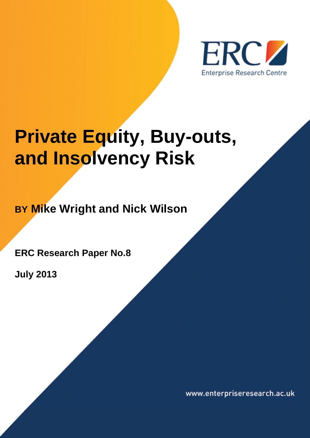

**Private Equity, Buy-outs, and Insolvency Risk**

**BY Mike Wright and Nick Wilson**

**ERC Research Paper No.8**

**July 2013**

www.enterpriseresearch.ac.uk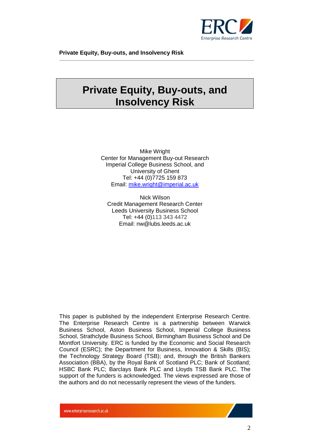

## **Private Equity, Buy-outs, and Insolvency Risk**

Mike Wright Center for Management Buy-out Research Imperial College Business School, and University of Ghent Tel: +44 (0)7725 159 873 Email: [mike.wright@imperial.ac.uk](mailto:mike.wright@imperial.ac.uk)

Nick Wilson Credit Management Research Center Leeds University Business School Tel: +44 (0)113 343 4472 Email: nw@lubs.leeds.ac.uk

This paper is published by the independent Enterprise Research Centre. The Enterprise Research Centre is a partnership between Warwick Business School, Aston Business School, Imperial College Business School, Strathclyde Business School, Birmingham Business School and De Montfort University. ERC is funded by the Economic and Social Research Council (ESRC); the Department for Business, Innovation & Skills (BIS); the Technology Strategy Board (TSB); and, through the British Bankers Association (BBA), by the Royal Bank of Scotland PLC; Bank of Scotland; HSBC Bank PLC; Barclays Bank PLC and Lloyds TSB Bank PLC. The support of the funders is acknowledged. The views expressed are those of the authors and do not necessarily represent the views of the funders.

www.enterpriseresearch.ac.uk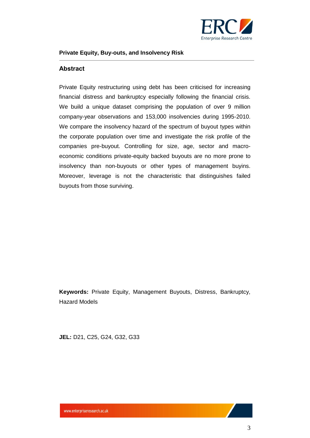

#### <span id="page-2-0"></span>**Abstract**

Private Equity restructuring using debt has been criticised for increasing financial distress and bankruptcy especially following the financial crisis. We build a unique dataset comprising the population of over 9 million company-year observations and 153,000 insolvencies during 1995-2010. We compare the insolvency hazard of the spectrum of buyout types within the corporate population over time and investigate the risk profile of the companies pre-buyout. Controlling for size, age, sector and macroeconomic conditions private-equity backed buyouts are no more prone to insolvency than non-buyouts or other types of management buyins. Moreover, leverage is not the characteristic that distinguishes failed buyouts from those surviving.

**Keywords:** Private Equity, Management Buyouts, Distress, Bankruptcy, Hazard Models

**JEL:** D21, C25, G24, G32, G33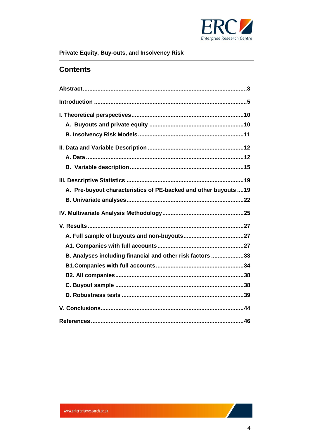

### **Contents**

| A. Pre-buyout characteristics of PE-backed and other buyouts  19 |
|------------------------------------------------------------------|
|                                                                  |
|                                                                  |
|                                                                  |
|                                                                  |
|                                                                  |
|                                                                  |
| B. Analyses including financial and other risk factors 33        |
|                                                                  |
|                                                                  |
|                                                                  |
|                                                                  |
|                                                                  |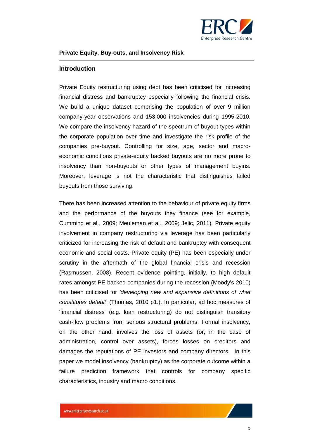

#### <span id="page-4-0"></span>**Introduction**

Private Equity restructuring using debt has been criticised for increasing financial distress and bankruptcy especially following the financial crisis. We build a unique dataset comprising the population of over 9 million company-year observations and 153,000 insolvencies during 1995-2010. We compare the insolvency hazard of the spectrum of buyout types within the corporate population over time and investigate the risk profile of the companies pre-buyout. Controlling for size, age, sector and macroeconomic conditions private-equity backed buyouts are no more prone to insolvency than non-buyouts or other types of management buyins. Moreover, leverage is not the characteristic that distinguishes failed buyouts from those surviving.

There has been increased attention to the behaviour of private equity firms and the performance of the buyouts they finance (see for example, Cumming et al., 2009; Meuleman et al., 2009; Jelic, 2011). Private equity involvement in company restructuring via leverage has been particularly criticized for increasing the risk of default and bankruptcy with consequent economic and social costs. Private equity (PE) has been especially under scrutiny in the aftermath of the global financial crisis and recession (Rasmussen, 2008). Recent evidence pointing, initially, to high default rates amongst PE backed companies during the recession (Moody's 2010) has been criticised for *'developing new and expansive definitions of what constitutes default'* (Thomas, 2010 p1.). In particular, ad hoc measures of 'financial distress' (e.g. loan restructuring) do not distinguish transitory cash-flow problems from serious structural problems. Formal insolvency, on the other hand, involves the loss of assets (or, in the case of administration, control over assets), forces losses on creditors and damages the reputations of PE investors and company directors. In this paper we model insolvency (bankruptcy) as the corporate outcome within a failure prediction framework that controls for company specific characteristics, industry and macro conditions.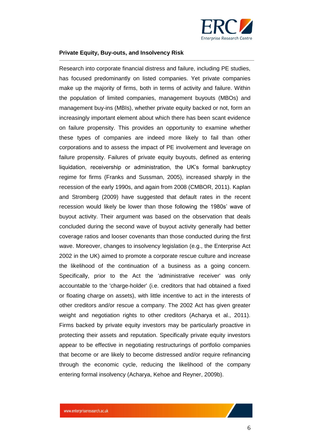

Research into corporate financial distress and failure, including PE studies, has focused predominantly on listed companies. Yet private companies make up the majority of firms, both in terms of activity and failure. Within the population of limited companies, management buyouts (MBOs) and management buy-ins (MBIs), whether private equity backed or not, form an increasingly important element about which there has been scant evidence on failure propensity. This provides an opportunity to examine whether these types of companies are indeed more likely to fail than other corporations and to assess the impact of PE involvement and leverage on failure propensity. Failures of private equity buyouts, defined as entering liquidation, receivership or administration, the UK's formal bankruptcy regime for firms (Franks and Sussman, 2005), increased sharply in the recession of the early 1990s, and again from 2008 (CMBOR, 2011). Kaplan and Stromberg (2009) have suggested that default rates in the recent recession would likely be lower than those following the 1980s' wave of buyout activity. Their argument was based on the observation that deals concluded during the second wave of buyout activity generally had better coverage ratios and looser covenants than those conducted during the first wave. Moreover, changes to insolvency legislation (e.g., the Enterprise Act 2002 in the UK) aimed to promote a corporate rescue culture and increase the likelihood of the continuation of a business as a going concern. Specifically, prior to the Act the 'administrative receiver' was only accountable to the 'charge-holder' (i.e. creditors that had obtained a fixed or floating charge on assets), with little incentive to act in the interests of other creditors and/or rescue a company. The 2002 Act has given greater weight and negotiation rights to other creditors (Acharya et al., 2011). Firms backed by private equity investors may be particularly proactive in protecting their assets and reputation. Specifically private equity investors appear to be effective in negotiating restructurings of portfolio companies that become or are likely to become distressed and/or require refinancing through the economic cycle, reducing the likelihood of the company entering formal insolvency (Acharya, Kehoe and Reyner, 2009b).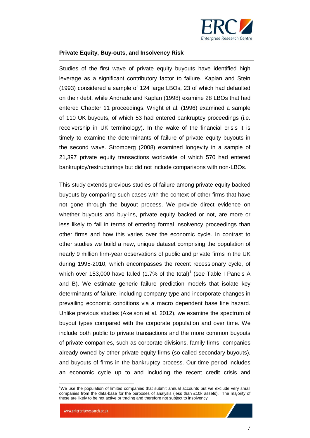

Studies of the first wave of private equity buyouts have identified high leverage as a significant contributory factor to failure. Kaplan and Stein (1993) considered a sample of 124 large LBOs, 23 of which had defaulted on their debt, while Andrade and Kaplan (1998) examine 28 LBOs that had entered Chapter 11 proceedings. Wright et al. (1996) examined a sample of 110 UK buyouts, of which 53 had entered bankruptcy proceedings (i.e. receivership in UK terminology). In the wake of the financial crisis it is timely to examine the determinants of failure of private equity buyouts in the second wave. Stromberg (2008) examined longevity in a sample of 21,397 private equity transactions worldwide of which 570 had entered bankruptcy/restructurings but did not include comparisons with non-LBOs.

This study extends previous studies of failure among private equity backed buyouts by comparing such cases with the context of other firms that have not gone through the buyout process. We provide direct evidence on whether buyouts and buy-ins, private equity backed or not, are more or less likely to fail in terms of entering formal insolvency proceedings than other firms and how this varies over the economic cycle. In contrast to other studies we build a new, unique dataset comprising the population of nearly 9 million firm-year observations of public and private firms in the UK during 1995-2010, which encompasses the recent recessionary cycle, of which over 153,000 have failed (1.7% of the total)<sup>1</sup> (see Table I Panels A and B). We estimate generic failure prediction models that isolate key determinants of failure, including company type and incorporate changes in prevailing economic conditions via a macro dependent base line hazard. Unlike previous studies (Axelson et al. 2012), we examine the spectrum of buyout types compared with the corporate population and over time. We include both public to private transactions and the more common buyouts of private companies, such as corporate divisions, family firms, companies already owned by other private equity firms (so-called secondary buyouts), and buyouts of firms in the bankruptcy process. Our time period includes an economic cycle up to and including the recent credit crisis and

 $\overline{a}$ 

<sup>&</sup>lt;sup>1</sup>We use the population of limited companies that submit annual accounts but we exclude very small companies from the data-base for the purposes of analysis (less than £10k assets). The majority of these are likely to be not active or trading and therefore not subject to insolvency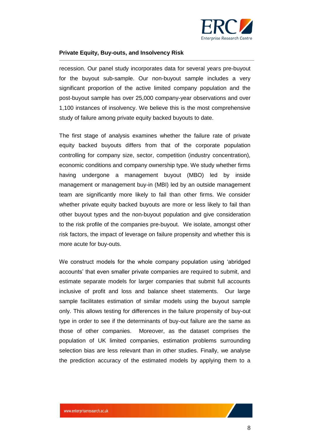

recession. Our panel study incorporates data for several years pre-buyout for the buyout sub-sample. Our non-buyout sample includes a very significant proportion of the active limited company population and the post-buyout sample has over 25,000 company-year observations and over 1,100 instances of insolvency. We believe this is the most comprehensive study of failure among private equity backed buyouts to date.

The first stage of analysis examines whether the failure rate of private equity backed buyouts differs from that of the corporate population controlling for company size, sector, competition (industry concentration), economic conditions and company ownership type. We study whether firms having undergone a management buyout (MBO) led by inside management or management buy-in (MBI) led by an outside management team are significantly more likely to fail than other firms. We consider whether private equity backed buyouts are more or less likely to fail than other buyout types and the non-buyout population and give consideration to the risk profile of the companies pre-buyout. We isolate, amongst other risk factors, the impact of leverage on failure propensity and whether this is more acute for buy-outs.

We construct models for the whole company population using 'abridged accounts' that even smaller private companies are required to submit, and estimate separate models for larger companies that submit full accounts inclusive of profit and loss and balance sheet statements. Our large sample facilitates estimation of similar models using the buyout sample only. This allows testing for differences in the failure propensity of buy-out type in order to see if the determinants of buy-out failure are the same as those of other companies. Moreover, as the dataset comprises the population of UK limited companies, estimation problems surrounding selection bias are less relevant than in other studies. Finally, we analyse the prediction accuracy of the estimated models by applying them to a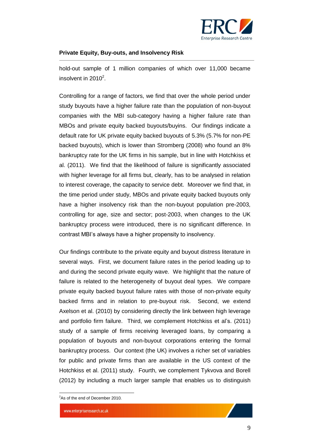

hold-out sample of 1 million companies of which over 11,000 became insolvent in 2010 $2$ .

Controlling for a range of factors, we find that over the whole period under study buyouts have a higher failure rate than the population of non-buyout companies with the MBI sub-category having a higher failure rate than MBOs and private equity backed buyouts/buyins. Our findings indicate a default rate for UK private equity backed buyouts of 5.3% (5.7% for non-PE backed buyouts), which is lower than Stromberg (2008) who found an 8% bankruptcy rate for the UK firms in his sample, but in line with Hotchkiss et al. (2011). We find that the likelihood of failure is significantly associated with higher leverage for all firms but, clearly, has to be analysed in relation to interest coverage, the capacity to service debt. Moreover we find that, in the time period under study, MBOs and private equity backed buyouts only have a higher insolvency risk than the non-buyout population pre-2003, controlling for age, size and sector; post-2003, when changes to the UK bankruptcy process were introduced, there is no significant difference. In contrast MBI's always have a higher propensity to insolvency.

Our findings contribute to the private equity and buyout distress literature in several ways. First, we document failure rates in the period leading up to and during the second private equity wave. We highlight that the nature of failure is related to the heterogeneity of buyout deal types. We compare private equity backed buyout failure rates with those of non-private equity backed firms and in relation to pre-buyout risk. Second, we extend Axelson et al. (2010) by considering directly the link between high leverage and portfolio firm failure. Third, we complement Hotchkiss et al's. (2011) study of a sample of firms receiving leveraged loans, by comparing a population of buyouts and non-buyout corporations entering the formal bankruptcy process. Our context (the UK) involves a richer set of variables for public and private firms than are available in the US context of the Hotchkiss et al. (2011) study. Fourth, we complement Tykvova and Borell (2012) by including a much larger sample that enables us to distinguish

 $\overline{a}$ 

<sup>&</sup>lt;sup>2</sup>As of the end of December 2010.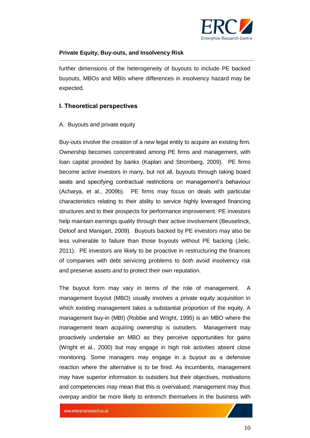

further dimensions of the heterogeneity of buyouts to include PE backed buyouts, MBOs and MBIs where differences in insolvency hazard may be expected.

#### <span id="page-9-0"></span>**I. Theoretical perspectives**

#### <span id="page-9-1"></span>A. Buyouts and private equity

Buy-outs involve the creation of a new legal entity to acquire an existing firm. Ownership becomes concentrated among PE firms and management, with loan capital provided by banks (Kaplan and Stromberg, 2009). PE firms become active investors in many, but not all, buyouts through taking board seats and specifying contractual restrictions on management's behaviour (Acharya, et al., 2009b). PE firms may focus on deals with particular characteristics relating to their ability to service highly leveraged financing structures and to their prospects for performance improvement. PE investors help maintain earnings quality through their active involvement (Beuselinck, Deloof and Manigart, 2009). Buyouts backed by PE investors may also be less vulnerable to failure than those buyouts without PE backing (Jelic, 2011). PE investors are likely to be proactive in restructuring the finances of companies with debt servicing problems to *both* avoid insolvency risk and preserve assets *and* to protect their own reputation.

The buyout form may vary in terms of the role of management. A management buyout (MBO) usually involves a private equity acquisition in which existing management takes a substantial proportion of the equity. A management buy-in (MBI) (Robbie and Wright, 1995) is an MBO where the management team acquiring ownership is outsiders. Management may proactively undertake an MBO as they perceive opportunities for gains (Wright et al., 2000) but may engage in high risk activities absent close monitoring. Some managers may engage in a buyout as a defensive reaction where the alternative is to be fired. As incumbents, management may have superior information to outsiders but their objectives, motivations and competencies may mean that this is overvalued; management may thus overpay and/or be more likely to entrench themselves in the business with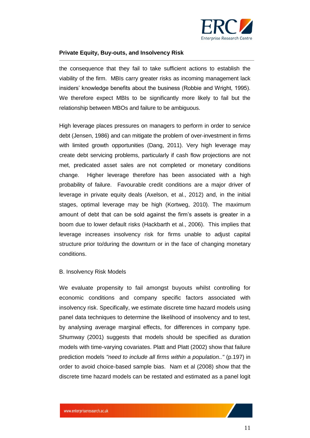

the consequence that they fail to take sufficient actions to establish the viability of the firm. MBIs carry greater risks as incoming management lack insiders' knowledge benefits about the business (Robbie and Wright, 1995). We therefore expect MBIs to be significantly more likely to fail but the relationship between MBOs and failure to be ambiguous.

High leverage places pressures on managers to perform in order to service debt (Jensen, 1986) and can mitigate the problem of over-investment in firms with limited growth opportunities (Dang, 2011). Very high leverage may create debt servicing problems, particularly if cash flow projections are not met, predicated asset sales are not completed or monetary conditions change. Higher leverage therefore has been associated with a high probability of failure. Favourable credit conditions are a major driver of leverage in private equity deals (Axelson, et al., 2012) and, in the initial stages, optimal leverage may be high (Kortweg, 2010). The maximum amount of debt that can be sold against the firm's assets is greater in a boom due to lower default risks (Hackbarth et al., 2006). This implies that leverage increases insolvency risk for firms unable to adjust capital structure prior to/during the downturn or in the face of changing monetary conditions.

#### <span id="page-10-0"></span>B. Insolvency Risk Models

We evaluate propensity to fail amongst buyouts whilst controlling for economic conditions and company specific factors associated with insolvency risk. Specifically, we estimate discrete time hazard models using panel data techniques to determine the likelihood of insolvency and to test, by analysing average marginal effects, for differences in company type. Shumway (2001) suggests that models should be specified as duration models with time-varying covariates. Platt and Platt (2002) show that failure prediction models *"need to include all firms within a population.."* (p.197) in order to avoid choice-based sample bias. Nam et al (2008) show that the discrete time hazard models can be restated and estimated as a panel logit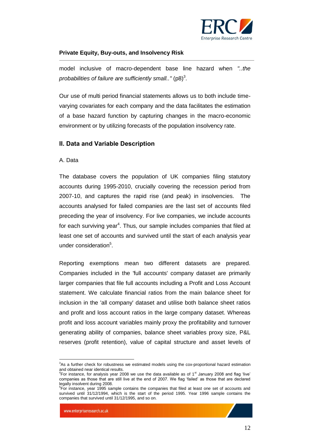

model inclusive of macro-dependent base line hazard when *"..the*  probabilities of failure are sufficiently small.." (p8)<sup>3</sup>.

Our use of multi period financial statements allows us to both include timevarying covariates for each company and the data facilitates the estimation of a base hazard function by capturing changes in the macro-economic environment or by utilizing forecasts of the population insolvency rate.

#### <span id="page-11-0"></span>**II. Data and Variable Description**

#### <span id="page-11-1"></span>A. Data

The database covers the population of UK companies filing statutory accounts during 1995-2010, crucially covering the recession period from 2007-10, and captures the rapid rise (and peak) in insolvencies. The accounts analysed for failed companies are the last set of accounts filed preceding the year of insolvency. For live companies, we include accounts for each surviving year<sup>4</sup>. Thus, our sample includes companies that filed at least one set of accounts and survived until the start of each analysis year under consideration<sup>5</sup>.

Reporting exemptions mean two different datasets are prepared. Companies included in the 'full accounts' company dataset are primarily larger companies that file full accounts including a Profit and Loss Account statement. We calculate financial ratios from the main balance sheet for inclusion in the 'all company' dataset and utilise both balance sheet ratios and profit and loss account ratios in the large company dataset. Whereas profit and loss account variables mainly proxy the profitability and turnover generating ability of companies, balance sheet variables proxy size, P&L reserves (profit retention), value of capital structure and asset levels of

 $\overline{a}$ <sup>3</sup>As a further check for robustness we estimated models using the cox-proportional hazard estimation and obtained near identical results.

 ${}^{4}$ For instance, for analysis year 2008 we use the data available as of 1<sup>st</sup> January 2008 and flag 'live' companies as those that are still live at the end of 2007. We flag 'failed' as those that are declared legally insolvent during 2008.

<sup>&</sup>lt;sup>5</sup>For instance, year 1995 sample contains the companies that filed at least one set of accounts and survived until 31/12/1994, which is the start of the period 1995. Year 1996 sample contains the companies that survived until 31/12/1995, and so on.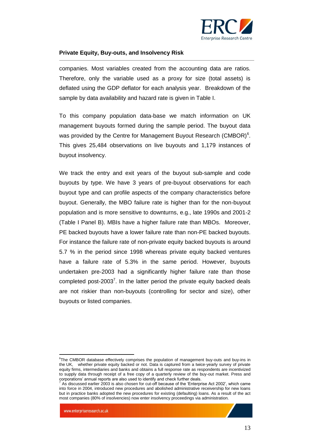

companies. Most variables created from the accounting data are ratios. Therefore, only the variable used as a proxy for size (total assets) is deflated using the GDP deflator for each analysis year. Breakdown of the sample by data availability and hazard rate is given in Table I.

To this company population data-base we match information on UK management buyouts formed during the sample period. The buyout data was provided by the Centre for Management Buyout Research (CMBOR) $6$ . This gives 25,484 observations on live buyouts and 1,179 instances of buyout insolvency.

We track the entry and exit years of the buyout sub-sample and code buyouts by type. We have 3 years of pre-buyout observations for each buyout type and can profile aspects of the company characteristics before buyout. Generally, the MBO failure rate is higher than for the non-buyout population and is more sensitive to downturns, e.g., late 1990s and 2001-2 (Table I Panel B). MBIs have a higher failure rate than MBOs. Moreover, PE backed buyouts have a lower failure rate than non-PE backed buyouts. For instance the failure rate of non-private equity backed buyouts is around 5.7 % in the period since 1998 whereas private equity backed ventures have a failure rate of 5.3% in the same period. However, buyouts undertaken pre-2003 had a significantly higher failure rate than those completed post-2003<sup>7</sup>. In the latter period the private equity backed deals are not riskier than non-buyouts (controlling for sector and size), other buyouts or listed companies.

 6 The CMBOR database effectively comprises the population of management buy-outs and buy-ins in the UK, whether private equity backed or not. Data is captured from a twice-yearly survey of private equity firms, intermediaries and banks and obtains a full response rate as respondents are incentivized to supply data through receipt of a free copy of a quarterly review of the buy-out market. Press and corporations' annual reports are also used to identify and check further deals.

<sup>7</sup> As discussed earlier 2003 is also chosen for cut-off because of the 'Enterprise Act 2002', which came into force in 2004, introduced new procedures and abolished administrative receivership for new loans but in practice banks adopted the new procedures for existing (defaulting) loans. As a result of the act most companies (80% of insolvencies) now enter insolvency proceedings via administration.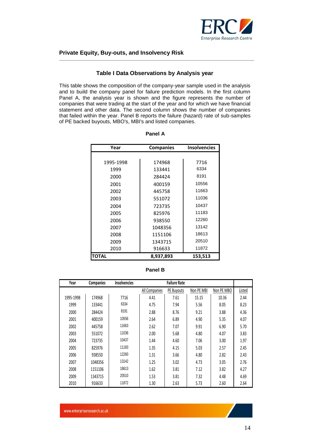

#### **Table I Data Observations by Analysis year**

This table shows the composition of the company-year sample used in the analysis and to build the company panel for failure prediction models. In the first column Panel A, the analysis year is shown and the figure represents the number of companies that were trading at the start of the year and for which we have financial statement and other data. The second column shows the number of companies that failed within the year. Panel B reports the failure (hazard) rate of sub-samples of PE backed buyouts, MBO's, MBI's and listed companies.

| Year         | <b>Companies</b> | <b>Insolvencies</b> |
|--------------|------------------|---------------------|
|              |                  |                     |
| 1995-1998    | 174968           | 7716                |
| 1999         | 133441           | 6334                |
| 2000         | 284424           | 8191                |
| 2001         | 400159           | 10556               |
| 2002         | 445758           | 11663               |
| 2003         | 551072           | 11036               |
| 2004         | 723735           | 10437               |
| 2005         | 825976           | 11183               |
| 2006         | 938550           | 12260               |
| 2007         | 1048356          | 13142               |
| 2008         | 1151106          | 18613               |
| 2009         | 1343715          | 20510               |
| 2010         | 916633           | 11872               |
| <b>TOTAL</b> | 8,937,893        | 153,513             |

| 'anel |  |
|-------|--|
|-------|--|

| Year      | Companies | <b>Insolvencies</b> | <b>Failure Rate</b> |            |            |            |        |  |  |
|-----------|-----------|---------------------|---------------------|------------|------------|------------|--------|--|--|
|           |           |                     | All Companies       | PE Buyouts | Non PE MBI | Non PE MBO | Listed |  |  |
| 1995-1998 | 174968    | 7716                | 4.41                | 7.61       | 15.15      | 10.36      | 2.44   |  |  |
| 1999      | 133441    | 6334                | 4.75                | 7.94       | 5.56       | 8.05       | 8.23   |  |  |
| 2000      | 284424    | 8191                | 2.88                | 8.76       | 9.21       | 3.88       | 4.36   |  |  |
| 2001      | 400159    | 10556               | 2.64                | 6.89       | 4.90       | 5.35       | 4.07   |  |  |
| 2002      | 445758    | 11663               | 2.62                | 7.07       | 9.91       | 6.90       | 5.70   |  |  |
| 2003      | 551072    | 11036               | 2.00                | 5.68       | 4.80       | 4.07       | 3.83   |  |  |
| 2004      | 723735    | 10437               | 1.44                | 4.60       | 7.06       | 3.00       | 1.97   |  |  |
| 2005      | 825976    | 11183               | 1.35                | 4.15       | 5.03       | 2.57       | 2.45   |  |  |
| 2006      | 938550    | 12260               | 1.31                | 3.66       | 4.80       | 2.82       | 2.43   |  |  |
| 2007      | 1048356   | 13142               | 1.25                | 3.02       | 4.73       | 3.05       | 2.76   |  |  |
| 2008      | 1151106   | 18613               | 1.62                | 3.81       | 7.12       | 3.82       | 4.27   |  |  |
| 2009      | 1343715   | 20510               | 1.53                | 3.81       | 7.32       | 4.48       | 4.69   |  |  |
| 2010      | 916633    | 11872               | 1.30                | 2.63       | 5.73       | 2.60       | 2.64   |  |  |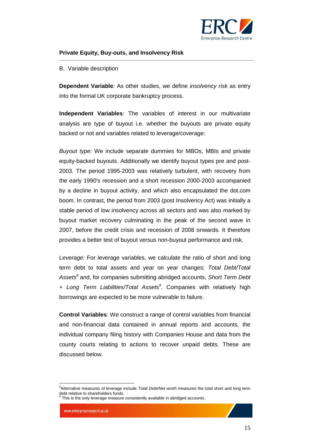

#### <span id="page-14-0"></span>B. Variable description

**Dependent Variable***:* As other studies, we define *insolvency risk* as entry into the formal UK corporate bankruptcy process.

**Independent Variables***:* The variables of interest in our multivariate analysis are type of buyout i.e. whether the buyouts are private equity backed or not and variables related to leverage/coverage:

*Buyout type:* We include separate dummies for MBOs, MBIs and private equity-backed buyouts. Additionally we identify buyout types pre and post-2003. The period 1995-2003 was relatively turbulent, with recovery from the early 1990's recession and a short recession 2000-2003 accompanied by a decline in buyout activity, and which also encapsulated the dot.com boom. In contrast, the period from 2003 (post Insolvency Act) was initially a stable period of low insolvency across all sectors and was also marked by buyout market recovery culminating in the peak of the second wave in 2007, before the credit crisis and recession of 2008 onwards. It therefore provides a better test of buyout versus non-buyout performance and risk.

*Leverage:* For leverage variables, we calculate the ratio of short and long term debt to total assets and year on year changes: *Total Debt/Total Assets<sup>8</sup>* and, for companies submitting abridged accounts, *Short Term Debt + Long Term Liabilities/Total Assets<sup>9</sup> .* Companies with relatively high borrowings are expected to be more vulnerable to failure.

**Control Variables***:* We construct a range of control variables from financial and non-financial data contained in annual reports and accounts, the individual company filing history with Companies House and data from the county courts relating to actions to recover unpaid debts. These are discussed below.

 $\overline{a}$ <sup>8</sup>Alternative measures of leverage include *Total Debt/Net worth* measures the total short and long term debt relative to shareholders funds.

 $9$  This is the only leverage measure consistently available in abridged accounts.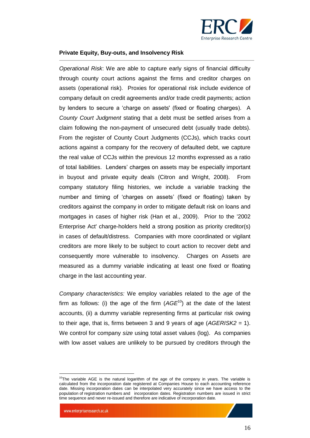

*Operational Risk*: We are able to capture early signs of financial difficulty through county court actions against the firms and creditor charges on assets (operational risk). Proxies for operational risk include evidence of company default on credit agreements and/or trade credit payments; action by lenders to secure a 'charge on assets' (fixed or floating charges). A *County Court Judgment* stating that a debt must be settled arises from a claim following the non-payment of unsecured debt (usually trade debts). From the register of County Court Judgments (CCJs), which tracks court actions against a company for the recovery of defaulted debt, we capture the real value of CCJs within the previous 12 months expressed as a ratio of total liabilities. Lenders' charges on assets may be especially important in buyout and private equity deals (Citron and Wright, 2008). From company statutory filing histories, we include a variable tracking the number and timing of 'charges on assets' (fixed or floating) taken by creditors against the company in order to mitigate default risk on loans and mortgages in cases of higher risk (Han et al., 2009). Prior to the '2002 Enterprise Act' charge-holders held a strong position as priority creditor(s) in cases of default/distress. Companies with more coordinated or vigilant creditors are more likely to be subject to court action to recover debt and consequently more vulnerable to insolvency. Charges on Assets are measured as a dummy variable indicating at least one fixed or floating charge in the last accounting year.

*Company characteristics:* We employ variables related to the *age* of the firm as follows: (i) the age of the firm  $(AGE^{10})$  at the date of the latest accounts, (ii) a dummy variable representing firms at particular risk owing to their age, that is, firms between 3 and 9 years of age (*AGERISK2* = 1). We control for company *size* using total asset values (log). As companies with low asset values are unlikely to be pursued by creditors through the

 $\overline{a}$ 

 $10$ The variable AGE is the natural logarithm of the age of the company in years. The variable is calculated from the incorporation date registered at Companies House to each accounting reference date. Missing incorporation dates can be interpolated very accurately since we have access to the population of registration numbers and incorporation dates. Registration numbers are issued in strict time sequence and never re-issued and therefore are indicative of incorporation date.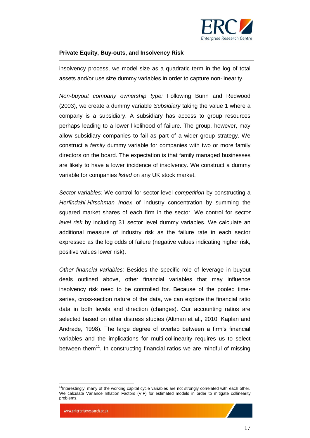

insolvency process, we model size as a quadratic term in the log of total assets and/or use size dummy variables in order to capture non-linearity.

*Non-buyout company ownership type:* Following Bunn and Redwood (2003), we create a dummy variable *Subsidiary* taking the value 1 where a company is a subsidiary. A subsidiary has access to group resources perhaps leading to a lower likelihood of failure. The group, however, may allow subsidiary companies to fail as part of a wider group strategy. We construct a *family* dummy variable for companies with two or more family directors on the board. The expectation is that family managed businesses are likely to have a lower incidence of insolvency. We construct a dummy variable for companies *listed* on any UK stock market.

*Sector variables:* We control for sector level *competition* by constructing a *Herfindahl-Hirschman Index* of industry concentration by summing the squared market shares of each firm in the sector. We control for *sector level risk* by including 31 sector level dummy variables. We calculate an additional measure of industry risk as the failure rate in each sector expressed as the log odds of failure (negative values indicating higher risk, positive values lower risk).

*Other financial variables:* Besides the specific role of leverage in buyout deals outlined above, other financial variables that may influence insolvency risk need to be controlled for. Because of the pooled timeseries, cross-section nature of the data, we can explore the financial ratio data in both levels and direction (changes). Our accounting ratios are selected based on other distress studies (Altman et al., 2010; Kaplan and Andrade, 1998). The large degree of overlap between a firm's financial variables and the implications for multi-collinearity requires us to select between them<sup>11</sup>. In constructing financial ratios we are mindful of missing

 $\overline{a}$ <sup>11</sup>Interestingly, many of the working capital cycle variables are not strongly correlated with each other. We calculate Variance Inflation Factors (VIF) for estimated models in order to mitigate collinearity problems.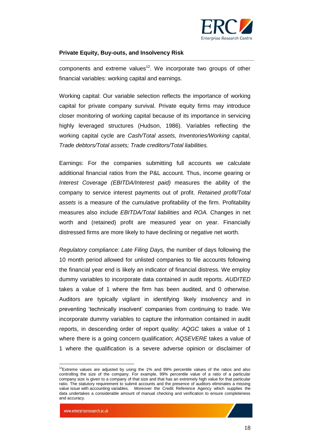

components and extreme values<sup>12</sup>. We incorporate two groups of other financial variables: working capital and earnings.

Working capital: Our variable selection reflects the importance of working capital for private company survival. Private equity firms may introduce closer monitoring of working capital because of its importance in servicing highly leveraged structures (Hudson, 1986). Variables reflecting the working capital cycle are *Cash/Total assets, Inventories/Working capital*, *Trade debtors/Total assets; Trade creditors/Total liabilities.* 

Earnings: For the companies submitting full accounts we calculate additional financial ratios from the P&L account. Thus, income gearing or *Interest Coverage (EBITDA/Interest paid)* measures the ability of the company to service interest payments out of profit. *Retained profit/Total assets* is a measure of the cumulative profitability of the firm. Profitability measures also include *EBITDA/Total liabilities* and *ROA.* Changes in net worth and (retained) profit are measured year on year. Financially distressed firms are more likely to have declining or negative net worth.

*Regulatory compliance: Late Filing Days,* the number of days following the 10 month period allowed for unlisted companies to file accounts following the financial year end is likely an indicator of financial distress. We employ dummy variables to incorporate data contained in audit reports. *AUDITED* takes a value of 1 where the firm has been audited, and 0 otherwise. Auditors are typically vigilant in identifying likely insolvency and in preventing 'technically insolvent' companies from continuing to trade. We incorporate dummy variables to capture the information contained in audit reports, in descending order of report quality: *AQGC* takes a value of 1 where there is a going concern qualification; *AQSEVERE* takes a value of 1 where the qualification is a severe adverse opinion or disclaimer of

www.enterpriseresearch.ac.uk

 $\overline{a}$ 

 $12$ Extreme values are adjusted by using the 1% and 99% percentile values of the ratios and also controlling the size of the company. For example, 99% percentile value of a ratio of a particular company size is given to a company of that size and that has an extremely high value for that particular ratio. The statutory requirement to submit accounts and the presence of auditors eliminates a missing value issue with accounting variables. Moreover the Credit Reference Agency which supplies the data undertakes a considerable amount of manual checking and verification to ensure completeness and accuracy.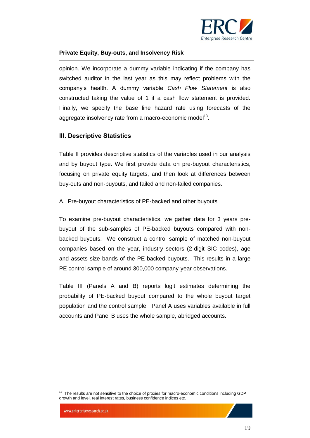

opinion. We incorporate a dummy variable indicating if the company has switched auditor in the last year as this may reflect problems with the company's health. A dummy variable *Cash Flow Statement* is also constructed taking the value of 1 if a cash flow statement is provided. Finally, we specify the base line hazard rate using forecasts of the aggregate insolvency rate from a macro-economic model<sup>13</sup>.

#### <span id="page-18-0"></span>**III. Descriptive Statistics**

Table II provides descriptive statistics of the variables used in our analysis and by buyout type. We first provide data on pre-buyout characteristics, focusing on private equity targets, and then look at differences between buy-outs and non-buyouts, and failed and non-failed companies.

<span id="page-18-1"></span>A. Pre-buyout characteristics of PE-backed and other buyouts

To examine pre-buyout characteristics, we gather data for 3 years prebuyout of the sub-samples of PE-backed buyouts compared with nonbacked buyouts. We construct a control sample of matched non-buyout companies based on the year, industry sectors (2-digit SIC codes), age and assets size bands of the PE-backed buyouts. This results in a large PE control sample of around 300,000 company-year observations.

Table III (Panels A and B) reports logit estimates determining the probability of PE-backed buyout compared to the whole buyout target population and the control sample. Panel A uses variables available in full accounts and Panel B uses the whole sample, abridged accounts.

 $\overline{a}$ <sup>13</sup> The results are not sensitive to the choice of proxies for macro-economic conditions including GDP growth and level, real interest rates, business confidence indices etc.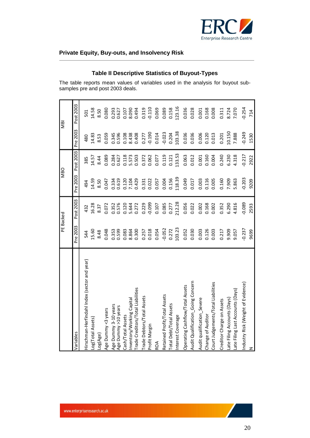

#### **Table II Descriptive Statistics of Buyout-Types**

The table reports mean values of variables used in the analysis for buyout subsamples pre and post 2003 deals.

|                                              |                | PE Backed      |                | <b>MBO</b>     |                | <b>MBI</b>     |
|----------------------------------------------|----------------|----------------|----------------|----------------|----------------|----------------|
| Variables                                    | Pre 2003       | Post 2003      | Pre 2003       | Post 2003      | Pre 2003       | Post 2003      |
| Hirschman-Herfindahl Index (sector and year) | 544            | 432            | 494            | 385            | 480            | 501            |
| Log(Total Assets)                            | 15.60          | 16.28          | 14.59          | 14.57          | 14.83          | 14.58          |
| Log(Age)                                     | 8.48           | 8.37           | 8.50           | 8.44           | 8.53           | 8.50           |
| Age Dummy <3 years                           | 0.048          | 0.072          | 0.047          | 0.089          | 0.059          | 0.080          |
| Age Dummy 3-10 years<br>Age Dummy >10 years  | 0.353<br>0.599 | 0.576<br>0.352 | 0.619<br>0.334 | 0.284<br>0.627 | 0.345<br>0.596 | 0.293<br>0.627 |
| Cash/Total Assets                            | 0.083          | 0.120          | 0.120          | 0.118          | 0.108          | 0.107          |
| Inventory/Working Capital                    | 8.864          | 5.644          | 7.104          | 5.573          | 8.438          | 8.090          |
| Trade Creditors/Total Liabilities            | 0.300          | 0.272          | 0.429          | 0.503          | 0.408          | 0.494          |
| Trade Debtors/Total Assets                   | 0.257          | 0.229          | 0.331          | 0.372          | 0.277          | 0.319          |
| Profit Margin                                | 0.018          | $-0.099$       | 0.022          | 0.062          | $-0.190$       | $-0.110$       |
| ROA                                          | 0.054          | 0.107          | 0.057          | 0.077          | 0.014          | 0.069          |
| Retained Profit/Total Assets                 | $-0.052$       | 0.085          | 0.004          | 0.119          | $-0.023$       | 0.089          |
| Total Debt/Total Assets                      | 0.272          | 0.277          | 0.156          | 0.121          | 0.204          | 0.158          |
| Interest Coverage                            | 103.23         | 212.28         | 118.39         | 133.53         | 103.38         | 123.16         |
| Operating Cashflow/Total Assets              | 0.052          | 0.056          | 0.049          | 0.063          | 0.036          | 0.036          |
| Audit Qualification_Going Concern            | 0.030          | 0.022          | 0.017          | 0.012          | 0.036          | 0.028          |
| Audit qualification_Severe                   | 0.003          | 0.002          | 0.003          | 0.001          | 0.006          | 0.001          |
| Change of Auditor                            | 0.126          | 0.168          | 0.116          | 0.160          | 0.120          | 0.168          |
| Court Judgements/Total Liabilities           | 0.003          | 0.002          | 0.005          | 0.004          | 0.013          | 0.008          |
| Creditor Charge on Assets                    | 0.217          | 0.352          | 0.160          | 0.240          | 0.201          | 0.311          |
| Late Filing Accounts (Days)                  | 9.909          | 6.290          | 7.909          | 6.230          | 10.150         | 8.724          |
| Late Filing Last Accounts (Days)             | 9.057          | 4.816          | 5.863          | 4.318          | 7.888          | 7.070          |
| Industry Risk (Weight of Evidence)           | $-0.237$       | $-0.089$       | $-0.203$       | $-0.217$       | $-0.249$       | $-0.254$       |
| z                                            | 9699           | 2593           | 9209           | 2922           | 1530           | 714            |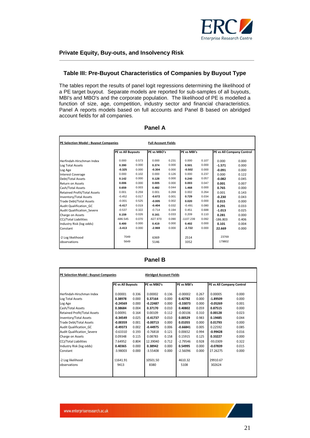

#### **Table III: Pre-Buyout Characteristics of Companies by Buyout Type**

The tables report the results of panel logit regressions determining the likelihood of a PE target buyout. Separate models are reported for sub-samples of all buyouts, MBI's and MBO's and the corporate population. The likelihood of PE is modelled a function of size, age, competition, industry sector and financial characteristics. Panel A reports models based on full accounts and Panel B based on abridged account fields for all companies.

| <b>PE Selection Model: Buyout Companies</b>                                                                                                                                                                                                                                                                   | <b>Full Account Fields</b>                                                                                              |                                                                                                          |                                                                                                                         |                                                                                                          |                                                                                                                |                                                                                                          |                                                                                                                         |                                                                                                          |
|---------------------------------------------------------------------------------------------------------------------------------------------------------------------------------------------------------------------------------------------------------------------------------------------------------------|-------------------------------------------------------------------------------------------------------------------------|----------------------------------------------------------------------------------------------------------|-------------------------------------------------------------------------------------------------------------------------|----------------------------------------------------------------------------------------------------------|----------------------------------------------------------------------------------------------------------------|----------------------------------------------------------------------------------------------------------|-------------------------------------------------------------------------------------------------------------------------|----------------------------------------------------------------------------------------------------------|
|                                                                                                                                                                                                                                                                                                               | PE vs All Buyouts                                                                                                       |                                                                                                          | PE vs MBO's                                                                                                             |                                                                                                          | PE vs MBI's                                                                                                    |                                                                                                          | PE vs All Company Control                                                                                               |                                                                                                          |
| Herfindah-Hirschman Index<br>Log Total Assets<br>Log Age<br><b>Interest Coverage</b><br>Debt/Total Assets<br>Return on Assets<br>Cash/Total Assets<br>Retained Profit/Total Assets<br>Inventory/Total Assets<br><b>Trade Debt/Total Assets</b><br>Audit Qualification GC<br><b>Audit Qualification Severe</b> | 0.000<br>0.390<br>$-0.325$<br>0.000<br>0.142<br>0.006<br>0.659<br>0.001<br>$-0.452$<br>$-0.001$<br>$-0.417$<br>$-0.537$ | 0.573<br>0.000<br>0.000<br>0.102<br>0.000<br>0.000<br>0.003<br>0.259<br>0.017<br>0.525<br>0.019<br>0.322 | 0.000<br>0.374<br>$-0.304$<br>0.000<br>0.128<br>0.005<br>0.482<br>0.001<br>$-0.672$<br>$-0.005$<br>$-0.404$<br>$-0.714$ | 0.231<br>0.000<br>0.000<br>0.126<br>0.000<br>0.000<br>0.044<br>0.269<br>0.001<br>0.002<br>0.032<br>0.194 | 0.000<br>0.501<br>$-0.502$<br>0.000<br>0.240<br>0.003<br>1.468<br>0.002<br>0.729<br>0.020<br>$-0.491$<br>0.451 | 0.107<br>0.000<br>0.000<br>0.237<br>0.057<br>0.047<br>0.000<br>0.264<br>0.034<br>0.000<br>0.080<br>0.688 | 0.000<br>$-1.571$<br>$-0.091$<br>0.000<br>$-0.082$<br>0.001<br>0.765<br>0.001<br>$-0.230$<br>0.015<br>0.291<br>$-1.013$ | 0.000<br>0.000<br>0.000<br>0.122<br>0.045<br>0.007<br>0.000<br>0.143<br>0.043<br>0.000<br>0.033<br>0.025 |
| Charge on Assets<br><b>CCJ/Total Liabilities</b><br>Industry Risk (log odds)<br>Constant<br>-2 Log likelihood<br>observations                                                                                                                                                                                 | 0.159<br>$-686.545$<br>0.400<br>$-3.413$<br>7049<br>5649                                                                | 0.026<br>0.070<br>0.000<br>0.000                                                                         | 0.161<br>$-627.970$<br>0.419<br>$-2.969$<br>6369<br>5146                                                                | 0.033<br>0.090<br>0.000<br>0.000                                                                         | 0.209<br>$-1107.239$<br>0.402<br>$-2.722$<br>2514<br>3352                                                      | 0.110<br>0.092<br>0.000<br>0.000                                                                         | 0.281<br>$-186.803$<br>0.101<br>22.669<br>23769<br>179802                                                               | 0.000<br>0.406<br>0.004<br>0.000                                                                         |

#### **Panel A**

| ١r<br>I |  |
|---------|--|
|---------|--|

| PE Selection Model: Buyout Companies<br><b>Abridged Account Fields</b> |                   |       |             |       |             |       |                           |       |  |
|------------------------------------------------------------------------|-------------------|-------|-------------|-------|-------------|-------|---------------------------|-------|--|
|                                                                        | PE vs All Buyouts |       | PE vs MBO's |       | PE vs MBI's |       | PE vs All Company Control |       |  |
| Herfindah-Hirschman Index                                              | 0.00001           | 0.336 | 0.00002     | 0.136 | $-0.00002$  | 0.267 | 0.00005                   | 0.000 |  |
| Log Total Assets                                                       | 0.38978           | 0.000 | 0.37164     | 0.000 | 0.42782     | 0.000 | $-1.89509$                | 0.000 |  |
| Log Age                                                                | $-0.24569$        | 0.000 | $-0.22487$  | 0.000 | $-0.33073$  | 0.000 | $-0.05269$                | 0.001 |  |
| Cash/Total Assets                                                      | 0.38684           | 0.004 | 0.37170     | 0.010 | 0.40802     | 0.059 | 0.87515                   | 0.000 |  |
| <b>Retained Profit/Total Assets</b>                                    | 0.00091           | 0.164 | 0.00109     | 0.112 | $-0.00106$  | 0.310 | 0.00128                   | 0.023 |  |
| <b>Inventory/Total Assets</b>                                          | $-0.34549$        | 0.025 | $-0.41737$  | 0.010 | 0.00529     | 0.983 | 0.19485                   | 0.044 |  |
| <b>Trade Debt/Total Assets</b>                                         | $-0.00359$        | 0.001 | $-0.00713$  | 0.000 | 0.01055     | 0.000 | 0.01793                   | 0.000 |  |
| Audit Qualification GC                                                 | $-0.49373$        | 0.002 | $-0.44975$  | 0.006 | $-0.66841$  | 0.005 | 0.22592                   | 0.085 |  |
| Audit Qualification Severe                                             | $-0.63310$        | 0.193 | $-0.76818$  | 0.121 | 0.00652     | 0.994 | $-0.99428$                | 0.016 |  |
| Charge on Assets                                                       | 0.09348           | 0.115 | 0.08783     | 0.158 | 0.15915     | 0.125 | 0.33227                   | 0.000 |  |
| <b>CCJ/Total Liabilities</b>                                           | 7.64952           | 0.804 | 12.39040    | 0.712 | $-2.79546$  | 0.928 | $-93.0309$                | 0.322 |  |
| Industry Risk (log odds)                                               | 0.40365           | 0.000 | 0.38942     | 0.000 | 0.54995     | 0.000 | $-0.07839$                | 0.015 |  |
| Constant                                                               | $-3.98003$        | 0.000 | $-3.55408$  | 0.000 | $-2.56096$  | 0.000 | 27.26275                  | 0.000 |  |
| -2 Log likelihood                                                      | 11641.91          |       | 10501.50    |       | 4610.32     |       | 29910.67                  |       |  |
| observations                                                           | 9413              |       | 8380        |       | 5108        |       | 302624                    |       |  |
|                                                                        |                   |       |             |       |             |       |                           |       |  |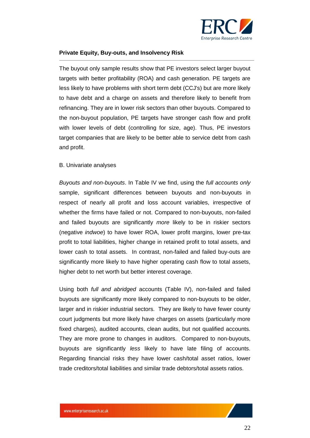

The buyout only sample results show that PE investors select larger buyout targets with better profitability (ROA) and cash generation. PE targets are less likely to have problems with short term debt (CCJ's) but are more likely to have debt and a charge on assets and therefore likely to benefit from refinancing. They are in lower risk sectors than other buyouts. Compared to the non-buyout population, PE targets have stronger cash flow and profit with lower levels of debt (controlling for size, age). Thus, PE investors target companies that are likely to be better able to service debt from cash and profit.

#### <span id="page-21-0"></span>B. Univariate analyses

*Buyouts and non-buyouts*. In Table IV we find, using the *full accounts only* sample, significant differences between buyouts and non-buyouts in respect of nearly all profit and loss account variables, irrespective of whether the firms have failed or not. Compared to non-buyouts, non-failed and failed buyouts are significantly *more* likely to be in riskier sectors (negative *indwoe*) to have lower ROA, lower profit margins, lower pre-tax profit to total liabilities, higher change in retained profit to total assets, and lower cash to total assets. In contrast, non-failed and failed buy-outs are significantly more likely to have higher operating cash flow to total assets, higher debt to net worth but better interest coverage.

Using both *full and abridged* accounts (Table IV), non-failed and failed buyouts are significantly more likely compared to non-buyouts to be older, larger and in riskier industrial sectors. They are likely to have fewer county court judgments but more likely have charges on assets (particularly more fixed charges), audited accounts, clean audits, but not qualified accounts. They are more prone to changes in auditors. Compared to non-buyouts, buyouts are significantly *less* likely to have late filing of accounts. Regarding financial risks they have lower cash/total asset ratios, lower trade creditors/total liabilities and similar trade debtors/total assets ratios.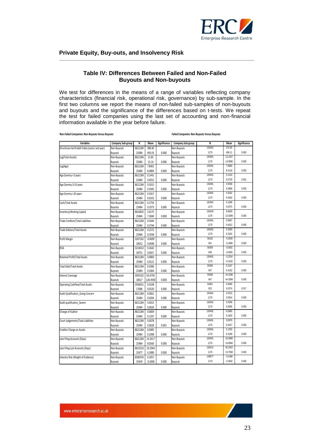

#### **Table IV: Differences Between Failed and Non-Failed Buyouts and Non-buyouts**

We test for differences in the means of a range of variables reflecting company characteristics (financial risk, operational risk, governance) by sub-sample. In the first two columns we report the means of non-failed sub-samples of non-buyouts and buyouts and the significance of the differences based on t-tests. We repeat the test for failed companies using the last set of accounting and non-financial information available in the year before failure.

**Non-Failed Companies: Non-Buyouts Versus Buyouts Failed Companies: Non-Buyouts Versus Buyouts**

| Variables                                    | Company Sub-group | N       | Mean      | Significance | Company Sub-group | N      | Mean      | Significance |
|----------------------------------------------|-------------------|---------|-----------|--------------|-------------------|--------|-----------|--------------|
| Hirschman-Herfindahl Index (sector and year) | Non-Buyouts       | 8621284 | 380.40    |              | Non-Buvouts       | 150491 | 472.05    |              |
|                                              | Buyouts           | 25484   | 495.03    | 0.000        | <b>Buyouts</b>    | 1179   | 466.11    | 0.000        |
| Log(Total Assets)                            | Non-Buyouts       | 8621284 | 11.85     |              | Non-Buyouts       | 150491 | 12.4107   |              |
|                                              | <b>Buyouts</b>    | 25484   | 15.14     | 0.000        | <b>Buyouts</b>    | 1179   | 14.9096   | 0.000        |
| Log(Age)                                     | Non-Buyouts       | 8621284 | 7.8401    |              | Non-Buyouts       | 150491 | 7.8680    |              |
|                                              | Buyouts           | 25484   | 8.4804    | 0.000        | <b>Buyouts</b>    | 1179   | 8.4118    | 0.000        |
| Age Dummy <3 years                           | Non-Buyouts       | 8621284 | 0.1441    |              | Non-Buyouts       | 150491 | 0.1410    |              |
|                                              | Buyouts           | 25484   | 0.0553    | 0.000        | Buyouts           | 1179   | 0.0729    | 0.001        |
| Age Dummy 3-10 years                         | Non-Buyouts       | 8621284 | 0.5015    |              | Non-Buyouts       | 150491 | 0.5558    |              |
|                                              | <b>Buyouts</b>    | 25484   | 0.3345    | 0.000        | Buyouts           | 1179   | 0.3808    | 0.000        |
| Age Dummy >10 years                          | Non-Buyouts       | 8621284 | 0.3417    |              | Non-Buyouts       | 150491 | 0.3032    |              |
|                                              | Buyouts           | 25484   | 0.6101    | 0.000        | <b>Buyouts</b>    | 1179   | 0.5462    | 0.000        |
| Cash/Total Assets                            | Non-Buyouts       | 8621284 | 0.2750    |              | Non-Buyouts       | 150491 | 0.1089    |              |
|                                              | <b>Buyouts</b>    | 25484   | 0.1073    | 0.000        | <b>Buyouts</b>    | 1179   | 0.0575    | 0.000        |
| Inventory/Working Capital                    | Non-Buyouts       | 8616835 | 3.6175    |              | Non-Buyouts       | 150429 | 8.6929    |              |
|                                              | Buyouts           | 25484   | 7.2840    | 0.000        | <b>Buyouts</b>    | 1178   | 13.0399   | 0.000        |
| <b>Trade Creditors/Total Liabilities</b>     | Non-Buyouts       | 8621284 | 0.5644    |              | Non-Buyouts       | 150491 | 0.5867    |              |
|                                              | <b>Buyouts</b>    | 25484   | 0.3744    | 0.000        | <b>Buyouts</b>    | 1179   | 0.4012    | 0.000        |
| <b>Trade Debtors/Total Assets</b>            | Non-Buyouts       | 8621284 | 0.2572    |              | Non-Buyouts       | 150491 | 0.3593    |              |
|                                              | <b>Buyouts</b>    | 25484   | 0.2938    | 0.000        | <b>Buyouts</b>    | 1179   | 0.3262    | 0.000        |
| Profit Margin                                | Non-Buyouts       | 3207162 | $-0.0699$ |              | Non-Buyouts       | 56422  | $-0.2509$ |              |
|                                              | Buyouts           | 18552   | 0.0048    | 0.000        | <b>Buyouts</b>    | 841    | $-0.1899$ | 0.000        |
| <b>ROA</b>                                   | Non-Buyouts       | 3214013 | 0.2642    |              | Non-Buyouts       | 56559  | $-0.0002$ |              |
|                                              | <b>Buyouts</b>    | 18751   | 0.0657    | 0.000        | <b>Buyouts</b>    | 849    | $-0.0455$ | 0.000        |
| <b>Retained Profit/Total Assets</b>          | Non-Buyouts       | 8621284 | 0.0869    |              | Non-Buyouts       | 150491 | $-0.2254$ |              |
|                                              | <b>Buyouts</b>    | 25484   | 0.0121    | 0.000        | <b>Buyouts</b>    | 1179   | $-0.1533$ | 0.000        |
| <b>Total Debt/Total Assets</b>               | Non-Buyouts       | 8621284 | 0.0386    |              | Non-Buyouts       | 55690  | 0.2167    |              |
|                                              | <b>Buyouts</b>    | 25484   | 0.2064    | 0.000        | Buyouts           | 847    | 0.4152    | 0.000        |
| <b>Interest Coverage</b>                     | Non-Buyouts       | 3093102 | 63.6792   |              | Non-Buyouts       | 55690  | 44.1596   |              |
|                                              | <b>Buyouts</b>    | 18617   | 128.3930  | 0.000        | <b>Buyouts</b>    | 847    | 44.3599   | 0.000        |
| <b>Operating Cashflow/Total Assets</b>       | Non-Buyouts       | 3036051 | 0.0108    |              | Non-Buyouts       | 54801  | 0.0080    |              |
|                                              | <b>Buyouts</b>    | 17686   | 0.0520    | 0.000        | <b>Buyouts</b>    | 823    | 0.0274    | 0.017        |
| Audit Qualification Going Concern            | Non-Buyouts       | 8621284 | 0.0061    |              | Non-Buyouts       | 150491 | 0.0323    |              |
|                                              | <b>Buyouts</b>    | 25484   | 0.0204    | 0.000        | <b>Buyouts</b>    | 1179   | 0.0814    | 0.000        |
| Audit qualification Severe                   | Non-Buyouts       | 8621284 | 0.0015    |              | Non-Buyouts       | 150491 | 0.0099    |              |
|                                              | Buyouts           | 25484   | 0.0026    | 0.000        | Buyouts           | 1179   | 0.0085    | 0.000        |
| Change of Auditor                            | Non-Buyouts       | 8621284 | 0.0669    |              | Non-Buyouts       | 150491 | 0.0965    |              |
|                                              | Buyouts           | 25484   | 0.1297    | 0.000        | <b>Buyouts</b>    | 1179   | 0.1603    | 0.000        |
| Court Judgements/Total Liabilities           | Non-Buyouts       | 8621284 | 0.0078    |              | Non-Buyouts       | 150491 | 0.0979    |              |
|                                              | Buyouts           | 25484   | 0.0028    | 0.001        | <b>Buyouts</b>    | 1179   | 0.0427    | 0.000        |
| Creditor Charge on Assets                    | Non-Buyouts       | 8621284 | 0.0485    |              | Non-Buyouts       | 150491 | 0.1303    |              |
|                                              | Buyouts           | 25484   | 0.2098    | 0.000        | <b>Buyouts</b>    | 1179   | 0.3189    | 0.000        |
| Late Filing Accounts (Days)                  | Non-Buyouts       | 8621284 | 14.2417   |              | Non-Buyouts       | 150491 | 26.0890   |              |
|                                              | Buyouts           | 25484   | 8.0560    | 0.000        | <b>Buyouts</b>    | 1179   | 16.8940   | 0.000        |
| Late Filing Last Accounts (Days)             | Non-Buyouts       | 8615510 | 10.2944   |              | Non-Buyouts       | 150412 | 30.2452   |              |
|                                              | Buyouts           | 25477   | 6.3089    | 0.000        | <b>Buyouts</b>    | 1178   | 19.7589   | 0.000        |
| Industry Risk (Weight of Evidence)           | Non-Buyouts       | 8585976 | 0.1057    |              | Non-Buyouts       | 149677 | $-0.1498$ |              |
|                                              | Buyouts           | 25459   | $-0.2008$ | 0.000        | Buyouts           | 1179   | $-0.4062$ | 0.000        |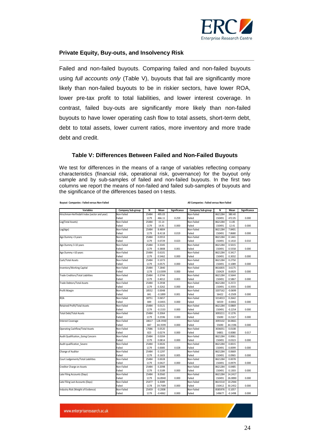

Failed and non-failed buyouts. Comparing failed and non-failed buyouts using *full accounts only* (Table V), buyouts that fail are significantly more likely than non-failed buyouts to be in riskier sectors, have lower ROA, lower pre-tax profit to total liabilities, and lower interest coverage. In contrast, failed buy-outs are significantly more likely than non-failed buyouts to have lower operating cash flow to total assets, short-term debt, debt to total assets, lower current ratios, more inventory and more trade debt and credit.

#### **Table V: Differences Between Failed and Non-Failed Buyouts**

We test for differences in the means of a range of variables reflecting company characteristics (financial risk, operational risk, governance) for the buyout only sample and by sub-samples of failed and non-failed buyouts. In the first two columns we report the means of non-failed and failed sub-samples of buyouts and the significance of the differences based on t-tests.

**Buyout Companies : Failed versus Non-Failed All Companies : Failed versus Non-Failed**

**Variables Company Sub-group N Mean Significance Company Sub-group N Mean Significance**  Findahl Index (sector and year) Non-Failed 25484 495.03 Non-Failed 8621284 380.40<br>Failed 1179 466.11 0.259 Failed 117.05 Failed 1179 466.11 0.259 Failed 150491 472.05 0.000 Log(Total Assets) Non-Failed 25484 15.14 Non-Failed 8621284 11.85 Failed 1179 14.91 0.000 Failed 150491 12.41 0.000 Log(Age) Non-Failed 25484 8.4804 Non-Failed 8621284 7.8401 Failed 1179 8.4118 0.019 Failed 150491 7.8680 0.000 Nge Dummy <3 years Non-Failed 25484 0.0553 Non-Failed 8621284 0.1441 0.1441 0.0729 0.023 Failed 150491 0.1410 Failed 1179 0.0729 0.023 Failed 150491 0.1410 0.010 e Dummy 3-10 years Non-Failed Non-Failed 25484 0.3345 Non-Failed 8621284 0.5015 Non-Failed 8621284 0.5015 Non-<br>
25484 1179 0.3808 0.001 Failed 150491 0.5558 Failed 1179 0.3808 0.001 Failed 150491 0.5558 0.000 Re Dummy >10 years Non-Failed 25484 0.6101 Non-Failed 8621284 0.3417<br>
Realied 1179 0.5462 0.000 Failed 150491 0.3032 Failed 1179 0.5462 0.000 Failed 150491 0.3032 0.000 Cash/Total Assets Non-Failed 25484 0.1073 Non-Failed 8621284 0.2750 Failed 1179 0.0575 0.000 Failed 150491 0.1089 0.000 Inventory/Working Capital 2616835 1.6175 Non-Failed 25484 7.2840 Non-Failed 8616835 1.6175 1.6249 Non-Failed 2<br>
Failed 1178 13.0399 0.000 Failed 150429 8.6929 Failed 1178 13.0399 0.000 Failed 150429 8.6929 0.000 Trade Creditors/Total Liabilities Non-Failed 25484 0.3744 Non-Failed 8621284 0.5644 Failed 1179 0.4012 0.003 Failed 150491 0.5867 0.000 Trade Debtors/Total Assets Non-Failed Non-Failed 25484 0.2938 Non-Failed 8621284 0.2572<br>
25484 1179 0.3262 0.000 Failed 150491 0.3593 Failed 1179 0.3262 0.000 Failed 150491 0.3593 0.000 Profit Margin Non-Failed 18552 0.0048 Non-Failed 3207162 -0.0699 Failed 841 -0.1899 0.001 Failed 56422 -0.2509 0.000 ROA Non-Failed 18751 0.0657 Non-Failed 3214013 0.2642 Failed 849 -0.0455 0.000 Failed 56559 -0.0002 0.000 Retained Profit/Total Assets **1.00869** Non-Failed 25484 0.0121 Non-Failed 8621284 0.0869 Non-Failed 8621284 0.0869<br>Failed 1179 0.1533 0.000 Failed 150491 0.2254 Failed 1179 -0.1533 0.000 Failed 150491 -0.2254 0.000 Total Debt/Total Assets Non-Failed 25484 0.2064 Non-Failed 3093211 0.1276 Failed 1179 0.2596 0.000 Failed 55690 0.2167 0.000 Interest Coverage Non-Failed 18617 | 128.3930 | Non-Failed 3093102 | 64.8661 Failed 847 44.3599 0.000 Failed 55690 44.1596 0.000 Operating Cashflow/Total Assets Non-Failed 17686 0.0520 Non-Failed 3036051 0.0108 Failed 823 0.0274 0.000 Failed 54801 0.0080 0.017 Audit Qualification\_Going Concern Non-Failed 25484 0.0204 Non-Failed 8621284 0.0061 Failed 1179 0.0814 0.000 Failed 150491 0.0323 0.000 Audit qualification\_Severe Non-Failed 25484 0.0026 Non-Failed 8621284 0.0015 Failed 1179 0.0085 0.028 Failed 150491 0.0099 0.000 Change of Auditor **Change of Auditor** 26421284 | 25484 | 25484 | 25484 | 25484 | 2621284 | 2621284 | 2621284 | 20 Failed 1179 0.1603 0.005 Failed 150491 0.0965 0.000 urt Judgements/Total Liabilities Non-Failed 25484 0.0028 Non-Failed 8621284 0.0078<br>Ealled 1179 0.0427 0.000 Failed 10.0979 150491 Failed 1179 0.0427 0.000 Failed 150491 0.0979 0.000 Peditor Charge on Assets **Non-Failed** 25484 0.2098 Non-Failed 8621284 0.0485<br>
Failed 1179 0.3189 0.000 Failed 150491 0.1303 Failed 1179 0.3189 0.000 Failed 150491 0.1303 0.000 ate Filing Accounts (Days) **12.2417** Non-Failed 25484 8.0560 Non-Failed 8621284 14.2417<br>
26.8890 0.000 Failed 150491 26.8890 Failed 1179 16.8940 0.000 Failed 150491 26.0890 0.000 Late Filing Last Accounts (Days) Non-Failed 25477 6.3089 Non-Failed 8615510 10.2944 Failed 1178 19.7589 0.000 Failed 150412 30.2452 0.000 Industry Risk (Weight of Evidence) Non-Failed 25459 -0.2008 Non-Failed 8585976 0.1057 Failed 1179 -0.4062 0.000 Failed 149677 -0.1498 0.000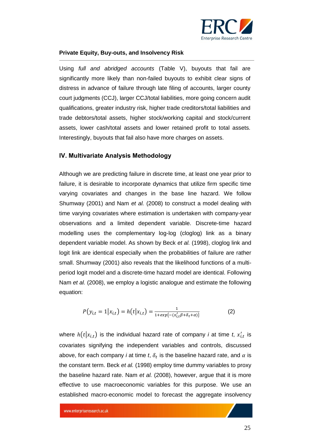

Using *full and abridged accounts* (Table V), buyouts that fail are significantly more likely than non-failed buyouts to exhibit clear signs of distress in advance of failure through late filing of accounts, larger county court judgments (CCJ), larger CCJ/total liabilities, more going concern audit qualifications, greater industry risk, higher trade creditors/total liabilities and trade debtors/total assets, higher stock/working capital and stock/current assets, lower cash/total assets and lower retained profit to total assets. Interestingly, buyouts that fail also have more charges on assets.

#### <span id="page-24-0"></span>**IV. Multivariate Analysis Methodology**

Although we are predicting failure in discrete time, at least one year prior to failure, it is desirable to incorporate dynamics that utilize firm specific time varying covariates and changes in the base line hazard. We follow Shumway (2001) and Nam *et al.* (2008) to construct a model dealing with time varying covariates where estimation is undertaken with company-year observations and a limited dependent variable. Discrete-time hazard modelling uses the complementary log-log (cloglog) link as a binary dependent variable model. As shown by Beck *et al.* (1998), cloglog link and logit link are identical especially when the probabilities of failure are rather small. Shumway (2001) also reveals that the likelihood functions of a multiperiod logit model and a discrete-time hazard model are identical. Following Nam *et al.* (2008), we employ a logistic analogue and estimate the following equation:

$$
P(y_{i,t} = 1 | x_{i,t}) = h(t | x_{i,t}) = \frac{1}{1 + exp{-(x'_{i,t}\beta + \delta_t + \alpha)}}
$$
(2)

where  $h(t | x_{i,t})$  is the individual hazard rate of company *i* at time *t*,  $x'_{i,t}$  is covariates signifying the independent variables and controls, discussed above, for each company *i* at time *t*,  $\delta_t$  is the baseline hazard rate, and  $\alpha$  is the constant term. Beck *et al.* (1998) employ time dummy variables to proxy the baseline hazard rate. Nam *et al.* (2008), however, argue that it is more effective to use macroeconomic variables for this purpose. We use an established macro-economic model to forecast the aggregate insolvency

www.enterpriseresearch.ac.uk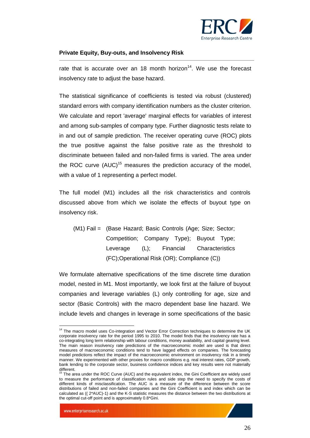

rate that is accurate over an 18 month horizon<sup>14</sup>. We use the forecast insolvency rate to adjust the base hazard.

The statistical significance of coefficients is tested via robust (clustered) standard errors with company identification numbers as the cluster criterion. We calculate and report 'average' marginal effects for variables of interest and among sub-samples of company type. Further diagnostic tests relate to in and out of sample prediction. The receiver operating curve (ROC) plots the true positive against the false positive rate as the threshold to discriminate between failed and non-failed firms is varied. The area under the ROC curve  $(AUC)^{15}$  measures the prediction accuracy of the model, with a value of 1 representing a perfect model.

The full model (M1) includes all the risk characteristics and controls discussed above from which we isolate the effects of buyout type on insolvency risk.

(M1) Fail = (Base Hazard; Basic Controls (Age; Size; Sector; Competition; Company Type); Buyout Type; Leverage (L); Financial Characteristics (FC);Operational Risk (OR); Compliance (C))

We formulate alternative specifications of the time discrete time duration model, nested in M1. Most importantly, we look first at the failure of buyout companies and leverage variables (L) only controlling for age, size and sector (Basic Controls) with the macro dependent base line hazard. We include levels and changes in leverage in some specifications of the basic

 $\overline{a}$ 

<sup>&</sup>lt;sup>14</sup> The macro model uses Co-integration and Vector Error Correction techniques to determine the UK corporate insolvency rate for the period 1995 to 2010. The model finds that the insolvency rate has a co-integrating long term relationship with labour conditions, money availability, and capital gearing level. The main reason insolvency rate predictions of the macroeconomic model are used is that direct measures of macroeconomic conditions tend to have lagged effects on companies. The forecasting model predictions reflect the impact of the macroeconomic environment on insolvency risk in a timely manner. We experimented with other proxies for macro conditions e.g. real interest rates, GDP growth, bank lending to the corporate sector, business confidence indices and key results were not materially

different.<br><sup>15</sup> The area under the ROC Curve (AUC) and the equivalent index, the Gini Coefficient are widely used to measure the performance of classification rules and side step the need to specify the costs of different kinds of misclassification. The AUC is a measure of the difference between the score distributions of failed and non-failed companies and the Gini Coefficient is and index which can be calculated as (( 2\*AUC)-1) and the K-S statistic measures the distance between the two distributions at the optimal cut-off point and is approximately 0.8\*Gini.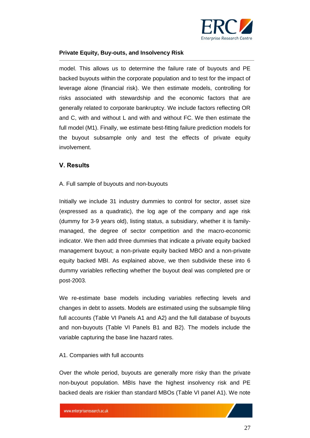

model. This allows us to determine the failure rate of buyouts and PE backed buyouts within the corporate population and to test for the impact of leverage alone (financial risk). We then estimate models, controlling for risks associated with stewardship and the economic factors that are generally related to corporate bankruptcy. We include factors reflecting OR and C, with and without L and with and without FC. We then estimate the full model (M1). Finally, we estimate best-fitting failure prediction models for the buyout subsample only and test the effects of private equity involvement.

#### <span id="page-26-0"></span>**V. Results**

#### <span id="page-26-1"></span>A. Full sample of buyouts and non-buyouts

Initially we include 31 industry dummies to control for sector, asset size (expressed as a quadratic), the log age of the company and age risk (dummy for 3-9 years old), listing status, a subsidiary, whether it is familymanaged, the degree of sector competition and the macro-economic indicator. We then add three dummies that indicate a private equity backed management buyout; a non-private equity backed MBO and a non-private equity backed MBI. As explained above, we then subdivide these into 6 dummy variables reflecting whether the buyout deal was completed pre or post-2003.

We re-estimate base models including variables reflecting levels and changes in debt to assets. Models are estimated using the subsample filing full accounts (Table VI Panels A1 and A2) and the full database of buyouts and non-buyouts (Table VI Panels B1 and B2). The models include the variable capturing the base line hazard rates.

#### <span id="page-26-2"></span>A1. Companies with full accounts

Over the whole period, buyouts are generally more risky than the private non-buyout population. MBIs have the highest insolvency risk and PE backed deals are riskier than standard MBOs (Table VI panel A1). We note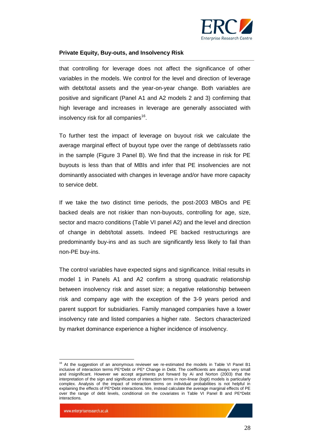

that controlling for leverage does not affect the significance of other variables in the models. We control for the level and direction of leverage with debt/total assets and the year-on-year change. Both variables are positive and significant (Panel A1 and A2 models 2 and 3) confirming that high leverage and increases in leverage are generally associated with insolvency risk for all companies<sup>16</sup>.

To further test the impact of leverage on buyout risk we calculate the average marginal effect of buyout type over the range of debt/assets ratio in the sample (Figure 3 Panel B). We find that the increase in risk for PE buyouts is less than that of MBIs and infer that PE insolvencies are not dominantly associated with changes in leverage and/or have more capacity to service debt.

If we take the two distinct time periods, the post-2003 MBOs and PE backed deals are not riskier than non-buyouts, controlling for age, size, sector and macro conditions (Table VI panel A2) and the level and direction of change in debt/total assets. Indeed PE backed restructurings are predominantly buy-ins and as such are significantly less likely to fail than non-PE buy-ins.

The control variables have expected signs and significance. Initial results in model 1 in Panels A1 and A2 confirm a strong quadratic relationship between insolvency risk and asset size; a negative relationship between risk and company age with the exception of the 3-9 years period and parent support for subsidiaries. Family managed companies have a lower insolvency rate and listed companies a higher rate. Sectors characterized by market dominance experience a higher incidence of insolvency.

 $\overline{a}$ 



<sup>&</sup>lt;sup>16</sup> At the suggestion of an anonymous reviewer we re-estimated the models in Table VI Panel B1 inclusive of interaction terms PE\*Debt or PE\* Change in Debt. The coefficients are always very small and insignificant. However we accept arguments put forward by Ai and Norton (2003) that the interpretation of the sign and significance of interaction terms in non-linear (logit) models is particularly complex. Analysis of the impact of interaction terms on individual probabilities is not helpful in explaining the effects of PE\*Debt interactions. We, instead calculate the average marginal effects of PE over the range of debt levels, conditional on the covariates in Table VI Panel B and PE\*Debt interactions.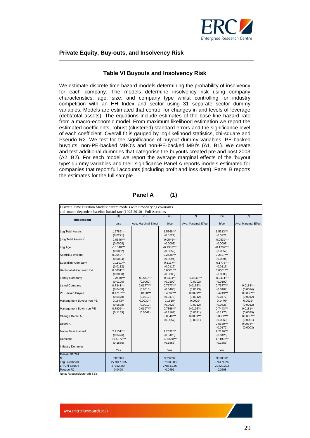

#### **Table VI Buyouts and Insolvency Risk**

We estimate discrete time hazard models determining the probability of insolvency for each company. The models determine insolvency risk using company characteristics, age, size, and company type whilst controlling for industry competition with an HH Index and sector using 31 separate sector dummy variables. Models are estimated that control for changes in and levels of leverage (debt/total assets). The equations include estimates of the base line hazard rate from a macro-economic model. From maximum likelihood estimation we report the estimated coefficients, robust (clustered) standard errors and the significance level of each coefficient. Overall fit is gauged by log-likelihood statistics, chi-square and Pseudo R2. We test for the significance of buyout dummy variables, PE-backed buyouts, non-PE-backed MBO's and non-PE-backed MBI's (A1, B1). We create and test additional dummies that categorise the buyouts created pre and post 2003 (A2, B2). For each model we report the average marginal effects of the 'buyout type' dummy variables and their significance Panel A reports models estimated for companies that report full accounts (including profit and loss data). Panel B reports the estimates for the full sample.

| Discrete Time Duration Models: hazard models with time-varying covariates<br>and macro dependent baseline hazard rate (1995-2010) - Full Accounts |                                    |                          |                                    |                          |                                    |                         |  |  |
|---------------------------------------------------------------------------------------------------------------------------------------------------|------------------------------------|--------------------------|------------------------------------|--------------------------|------------------------------------|-------------------------|--|--|
|                                                                                                                                                   | (1)                                | (1)                      | (2)                                | (2)                      | (3)                                | (3)                     |  |  |
| Independent                                                                                                                                       | b/se                               | Ave. Marginal Effect     | b/se                               | Ave. Marginal Effect     | b/se                               | Ave. Marginal Effect    |  |  |
| <b>Log Total Assets</b>                                                                                                                           | 1.5785***<br>(0.0221)              |                          | 1.5768***<br>(0.0221)              |                          | 1.5313***<br>(0.0221)              |                         |  |  |
| (Log Total Assets) <sup>2</sup>                                                                                                                   | $-0.0546***$<br>(0.0008)           |                          | $-0.0546***$<br>(0.0008)           |                          | $-0.0539***$<br>(0.0008)           |                         |  |  |
| Log Age                                                                                                                                           | $-0.1348***$<br>(0.0052)           |                          | $-0.1357***$<br>(0.0052)           |                          | $-0.1202***$<br>(0.0052)           |                         |  |  |
| Agerisk 3-9 years                                                                                                                                 | $0.2640***$<br>(0.0094)            |                          | $0.2638***$<br>(0.0094)            |                          | $0.2527***$<br>(0.0094)            |                         |  |  |
| <b>Subsidiary Company</b>                                                                                                                         | $-0.1101***$<br>(0.0112)           |                          | $-0.1117***$<br>(0.0112)           |                          | $-0.1775***$<br>(0.0116)           |                         |  |  |
| Herfindahl-Hirschman Ind                                                                                                                          | $0.0001***$<br>(0.0000)            |                          | $0.0001***$<br>(0.0000)            |                          | $0.0001***$<br>(0.0000)            |                         |  |  |
| <b>Family Company</b>                                                                                                                             | $-0.2438***$<br>(0.0100)           | $-0.0040***$<br>(0.0002) | $-0.2434***$<br>(0.0100)           | $-0.0040***$<br>(0.0002) | $-0.2411***$<br>(0.0100)           |                         |  |  |
| <b>Listed Company</b>                                                                                                                             | 0.7341***<br>(0.0408)              | $0.0177***$<br>(0.0013)  | $0.7277***$<br>(0.0408)            | 0.0175***<br>(0.0013)    | 0.7677***<br>(0.0407)              | $0.0188***$<br>(0.0014) |  |  |
| PE Backed Buyout                                                                                                                                  | $0.4716***$<br>(0.0478)            | 0.0100***<br>(0.0012)    | $0.4692***$<br>(0.0478)            | 0.0099***<br>(0.0012)    | $0.4249***$<br>(0.0477)            | 0.0088***<br>(0.0012)   |  |  |
| Management Buyout non-PE                                                                                                                          | $0.1643**$<br>(0.0628)             | $0.0030**$<br>(0.0012)   | $0.1610*$<br>(0.0627)              | $0.0029*$<br>(0.0012)    | $0.1446*$<br>(0.0625)              | $0.0026*$<br>(0.0012)   |  |  |
| Management Buyin non-PE                                                                                                                           | 0.7902***<br>(0.1169)              | $0.0197***$<br>(0.0041)  | 0.7856***<br>(0.1167)              | 0.0196***<br>(0.0041)    | $0.7443***$<br>(0.1170)            | $0.0181***$<br>(0.0039) |  |  |
| Change Debt/TA                                                                                                                                    |                                    |                          | $0.0540***$<br>(0.0057)            | 0.0009***<br>(0.0001)    | $0.0302***$<br>(0.0060)            | 0.0005***<br>(0.0001)   |  |  |
| Debt/TA                                                                                                                                           |                                    |                          |                                    |                          | 0.5580***<br>(0.0172)              | 0.0094***<br>(0.0003)   |  |  |
| Macro Base Hazard                                                                                                                                 | 2.2101***<br>(0.0426)              |                          | 2.2092***<br>(0.0426)              |                          | 2.2126***<br>(0.0426)              |                         |  |  |
| Constant                                                                                                                                          | $-17.5872***$<br>(0.1555)          |                          | $-17.5668***$<br>(0.1556)          |                          | $-17.1992***$<br>(0.1553)          |                         |  |  |
| <b>Industry Dummies</b>                                                                                                                           | Yes                                |                          | Yes                                |                          | Yes                                |                         |  |  |
| Failed= 57,761<br>N                                                                                                                               | 3320392                            |                          | 3320392                            |                          | 3320392                            |                         |  |  |
| Log Likelihood<br><b>LR Chi-Square</b><br>Pseudo R2                                                                                               | -277017.805<br>27762.264<br>0.0490 |                          | -276980.852<br>27854.226<br>0.0491 |                          | -276474.263<br>29420.202<br>0.0508 |                         |  |  |

**Panel A (1)**

Note: Robust(clustered) SE's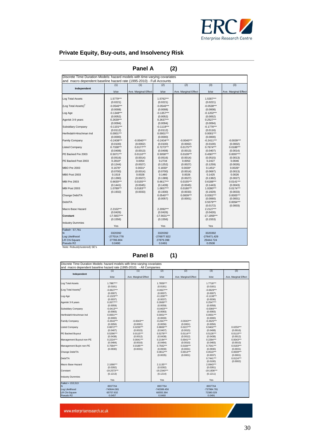

| Panel A<br>(2)                                                            |                           |                          |                           |                          |                           |                          |  |  |
|---------------------------------------------------------------------------|---------------------------|--------------------------|---------------------------|--------------------------|---------------------------|--------------------------|--|--|
| Discrete Time Duration Models: hazard models with time-varying covariates |                           |                          |                           |                          |                           |                          |  |  |
| and macro dependent baseline hazard rate (1995-2010) - Full Accounts      |                           |                          |                           |                          |                           |                          |  |  |
| Independent                                                               | (1)                       | (1)                      | (2)                       | (2)                      | (3)                       | (3)                      |  |  |
|                                                                           | b/se                      | Ave. Marginal Effect     | b/se                      | Ave. Marginal Effect     | b/se                      | Ave. Marginal Effect     |  |  |
| Log Total Assets                                                          | 1.5779***<br>(0.0221)     |                          | 1.5762***<br>(0.0221)     |                          | 1.5307***<br>(0.0221)     |                          |  |  |
| (Log Total Assets) <sup>2</sup>                                           | $-0.0546***$<br>(0.0008)  |                          | $-0.0546***$<br>(0.0008)  |                          | $-0.0538***$<br>(0.0008)  |                          |  |  |
| Log Age                                                                   | $-0.1348***$<br>(0.0052)  |                          | $-0.1357***$<br>(0.0052)  |                          | $-0.1202***$<br>(0.0052)  |                          |  |  |
| Agerisk 3-9 years                                                         | 0.2639***<br>(0.0094)     |                          | $0.2637***$<br>(0.0094)   |                          | $0.2527***$<br>(0.0094)   |                          |  |  |
| <b>Subsidiary Company</b>                                                 | $-0.1101***$<br>(0.0112)  |                          | $-0.1118***$<br>(0.0112)  |                          | $-0.1776***$<br>(0.0116)  |                          |  |  |
| Herfindahl-Hirschman Ind                                                  | $0.0001***$<br>(0.0000)   |                          | $0.0001***$<br>(0.0000)   |                          | $0.0001***$<br>(0.0000)   |                          |  |  |
| <b>Family Company</b>                                                     | $-0.2438***$<br>(0.0100)  | $-0.0040***$<br>(0.0002) | $-0.2434***$<br>(0.0100)  | $-0.0040***$<br>(0.0002) | $-0.2411***$<br>(0.0100)  | $-0.0039***$<br>(0.0002) |  |  |
| <b>Listed Company</b>                                                     | 0.7338***<br>(0.0408)     | $0.0177***$<br>(0.0013)  | $0.7273***$<br>(0.0408)   | $0.0175***$<br>(0.0013)  | 0.7674***<br>(0.0407)     | $0.0188***$<br>(0.0014)  |  |  |
| PE Backed Pre 2003                                                        | 0.5071***<br>(0.0516)     | $0.0110***$<br>(0.0014)  | 0.5058***<br>(0.0516)     | $0.0109***$<br>(0.0014)  | 0.4587***<br>(0.0515)     | 0.0097***<br>(0.0013)    |  |  |
| PE Backed Post 2003                                                       | $0.2810*$<br>(0.1244)     | 0.0054<br>(0.0027)       | 0.2734<br>(0.1252)        | 0.0053<br>(0.0027)       | 0.2427<br>(0.1259)        | 0.0046<br>(0.0026)       |  |  |
| <b>MBO Pre 2003</b>                                                       | $0.1676*$<br>(0.0700)     | $0.0031*$<br>(0.0014)    | $0.1650*$<br>(0.0700)     | $0.0030*$<br>(0.0014)    | $0.1451*$<br>(0.0697)     | $0.0026*$<br>(0.0013)    |  |  |
| <b>MB0 Post 2003</b>                                                      | 0.1519<br>(0.1390)        | 0.0028<br>(0.0027)       | 0.1460<br>(0.1389)        | 0.0026<br>(0.0027)       | 0.1425<br>(0.1382)        | 0.0026<br>(0.0027)       |  |  |
| <b>MBI Pre 2003</b>                                                       | $0.6630***$<br>(0.1441)   | 0.0155***<br>(0.0045)    | $0.6617***$<br>(0.1439)   | $0.0155***$<br>(0.0045)  | $0.6188***$<br>(0.1443)   | $0.0141***$<br>(0.0043)  |  |  |
| MBI Post 2003                                                             | 1.0789***<br>(0.1932)     | $0.0183***$<br>(0.0033)  | 1.0657***<br>(0.1930)     | $0.0180***$<br>(0.0033)  | 1.0280***<br>(0.1929)     | $0.0174***$<br>(0.0033)  |  |  |
| Change Debt/TA                                                            |                           |                          | $0.0540***$<br>(0.0057)   | $0.0009***$<br>(0.0001)  | $0.0302***$<br>(0.0060)   | $0.0005***$<br>(0.0001)  |  |  |
| Debt/TA                                                                   |                           |                          |                           |                          | $0.5579***$<br>(0.0172)   | $0.0094***$<br>(0.0003)  |  |  |
| Macro Base Hazard                                                         | $2.2102***$<br>(0.0426)   |                          | $2.2092***$<br>(0.0426)   |                          | 2.2127***<br>(0.0426)     |                          |  |  |
| Constant                                                                  | $-17.5837***$<br>(0.1556) |                          | $-17.5631***$<br>(0.1556) |                          | $-17.1959***$<br>(0.1553) |                          |  |  |
| <b>Industry Dummies</b>                                                   | Yes                       |                          | Yes                       |                          | Yes                       |                          |  |  |
| Failed= 57.761<br>N                                                       | 3320392                   |                          | 3320392                   |                          | 3320392                   |                          |  |  |
| Log Likelihood                                                            | -277014.778               |                          | -276977.822               |                          | -276471.429               |                          |  |  |
| <b>LR Chi-Square</b>                                                      | 27786.804                 |                          | 27879.398                 |                          | 29444.724                 |                          |  |  |
| Pseudo R2                                                                 | 0.0490                    |                          | 0.0491                    |                          | 0.0508                    |                          |  |  |
| Note: Robust(clustered) SE's                                              |                           |                          |                           |                          |                           |                          |  |  |

#### **Panel B (1)**

| Discrete Time Duration Models: hazard models with time-varying covariates |               |                      |               |                      |               |                      |
|---------------------------------------------------------------------------|---------------|----------------------|---------------|----------------------|---------------|----------------------|
| and macro dependent baseline hazard rate (1995-2010) - All Companies      |               |                      |               |                      |               |                      |
|                                                                           | (1)           | (1)                  | (2)           | (2)                  | (3)           | (3)                  |
| Independent                                                               | $b$ /se       | Ave. Marginal Effect | b/se          | Ave. Marginal Effect | $b$ /se       | Ave. Marginal Effect |
| Log Total Assets                                                          | 1.7887***     |                      | 1.7859***     |                      | $1.7718***$   |                      |
|                                                                           | (0.0181)      |                      | (0.0181)      |                      | (0.0181)      |                      |
| (Log Total Assets) <sup>2</sup>                                           | $-0.0627***$  |                      | $-0.0627***$  |                      | $-0.0629***$  |                      |
|                                                                           | (0.0007)      |                      | (0.0007)      |                      | (0.0007)      |                      |
| Log Age                                                                   | $-0.1323***$  |                      | $-0.1330***$  |                      | $-0.1138***$  |                      |
|                                                                           | (0.0037)      |                      | (0.0037)      |                      | (0.0036)      |                      |
| Agerisk 3-9 years                                                         | $0.2677***$   |                      | $0.2669***$   |                      | $0.2547***$   |                      |
|                                                                           | (0.0059)      |                      | (0.0059)      |                      | (0.0058)      |                      |
| <b>Subsidiary Company</b>                                                 | $-0.0413***$  |                      | $-0.0403***$  |                      | $-0.0366***$  |                      |
|                                                                           | (0.0083)      |                      | (0.0083)      |                      | (0.0083)      |                      |
| Herfindahl-Hirschman Ind                                                  | $0.0001***$   |                      | $0.0001***$   |                      | $0.0001***$   |                      |
|                                                                           | (0.0000)      |                      | (0.0000)      |                      | (0.0000)      |                      |
| Family Company                                                            | $-0.2642***$  | $-0.0043***$         | $-0.2647***$  | $-0.0043***$         | $-0.2625***$  |                      |
|                                                                           | (0.0056)      | (0.0001)             | (0.0056)      | (0.0001)             | (0.0056)      |                      |
| <b>Listed Company</b>                                                     | $0.8872***$   | $0.0230***$          | $0.8806***$   | $0.0227***$          | $0.9402***$   | $0.0250***$          |
|                                                                           | (0.0407)      | (0.0015)             | (0.0407)      | (0.0015)             | (0.0408)      | (0.0016)             |
| PE Backed Buyout                                                          | $0.5296***$   | $0.0115***$          | $0.5278***$   | $0.0114***$          | $0.5126***$   | $0.0110***$          |
|                                                                           | (0.0438)      | (0.0012)             | (0.0438)      | (0.0012)             | (0.0438)      | (0.0012)             |
| Management Buyout non-PE                                                  | $0.2224***$   | $0.0041***$          | $0.2194***$   | $0.0041***$          | $0.2284***$   | $0.0043***$          |
|                                                                           | (0.0484)      | (0.0010)             | (0.0484)      | (0.0010)             | (0.0483)      | (0.0010)             |
| Management Buyin non-PE                                                   | $0.7594***$   | $0.0185***$          | $0.7562***$   | $0.0184***$          | $0.7541***$   | $0.0183***$          |
|                                                                           | (0.0930)      | (0.0031)             | (0.0930)      | (0.0031)             | (0.0930)      | (0.0031)             |
| Change Debt/TA                                                            |               |                      | $0.0812***$   | $0.0014***$          | $0.0510***$   | $0.0009***$          |
|                                                                           |               |                      | (0.0035)      | (0.0001)             | (0.0037)      | (0.0001)             |
| Debt/TA                                                                   |               |                      |               |                      | $0.7441***$   | $0.0124***$          |
|                                                                           |               |                      |               |                      | (0.0100)      | (0.0002)             |
| Macro Base Hazard                                                         | 2.1066***     |                      | 2.1135***     |                      | 2.0943***     |                      |
|                                                                           | (0.0282)      |                      | (0.0282)      |                      | (0.0281)      |                      |
| Constant                                                                  | $-19.2573***$ |                      | $-19.2340***$ |                      | $-19.1836***$ |                      |
|                                                                           | (0.1213)      |                      | (0.1214)      |                      | (0.1211)      |                      |
| <b>Industry Dummies</b>                                                   |               |                      |               |                      |               |                      |
|                                                                           | Yes           |                      | Yes           |                      | Yes           |                      |
| Failed = $153,513$                                                        |               |                      |               |                      |               |                      |
| N                                                                         | 8937764       |                      | 8937764       |                      | 8937764       |                      |
| Log Likelihood                                                            | $-740644.081$ |                      | -740389.456   |                      | -737984.781   |                      |
| <b>LR Chi-Square</b>                                                      | 65757.632     |                      | 66555.384     |                      | 72380.029     |                      |
| Pseudo R2                                                                 | 0.0457        |                      | 0.0460        |                      | 0.0491        |                      |

www.enterpriseresearch.ac.uk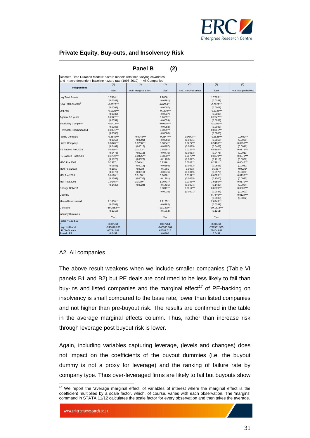

|                                                                           |                           | <b>Panel B</b>           | (2)                       |                          |                           |                          |
|---------------------------------------------------------------------------|---------------------------|--------------------------|---------------------------|--------------------------|---------------------------|--------------------------|
| Discrete Time Duration Models: hazard models with time-varying covariates |                           |                          |                           |                          |                           |                          |
| and macro dependent baseline hazard rate (1995-2010) - All Companies      |                           |                          |                           |                          |                           |                          |
| Independent                                                               | (1)                       | (1)                      | (2)                       | (2)                      | (3)                       | (3)                      |
|                                                                           | b/se                      | Ave. Marginal Effect     | $b$ /se                   | Ave. Marginal Effect     | $b$ /se                   | Ave. Marginal Effect     |
| Log Total Assets                                                          | 1.7884***<br>(0.0181)     |                          | 1.7856***<br>(0.0181)     |                          | 1.7715***<br>(0.0181)     |                          |
| (Log Total Assets) <sup>2</sup>                                           | $-0.0627***$<br>(0.0007)  |                          | $-0.0626***$<br>(0.0007)  |                          | $-0.0629***$<br>(0.0007)  |                          |
| Log Age                                                                   | $-0.1323***$<br>(0.0037)  |                          | $-0.1330***$<br>(0.0037)  |                          | $-0.1138***$<br>(0.0036)  |                          |
| Agerisk 3-9 years                                                         | $0.2677***$<br>(0.0059)   |                          | $0.2669***$<br>(0.0059)   |                          | $0.2547***$<br>(0.0058)   |                          |
| Subsidiary Company                                                        | $-0.0414***$<br>(0.0083)  |                          | $-0.0404***$<br>(0.0083)  |                          | $-0.0366***$<br>(0.0083)  |                          |
| Herfindahl-Hirschman Ind                                                  | $0.0001***$<br>(0.0000)   |                          | $0.0001***$<br>(0.0000)   |                          | $0.0001***$<br>(0.0000)   |                          |
| Family Company                                                            | $-0.2642***$<br>(0.0056)  | $-0.0043***$<br>(0.0001) | $-0.2647***$<br>(0.0056)  | $-0.0043***$<br>(0.0001) | $-0.2625***$<br>(0.0056)  | $-0.0043***$<br>(0.0001) |
| <b>Listed Company</b>                                                     | 0.8870***<br>(0.0407)     | $0.0230***$<br>(0.0015)  | $0.8804***$<br>(0.0407)   | $0.0227***$<br>(0.0015)  | 0.9400***<br>(0.0408)     | $0.0250***$<br>(0.0016)  |
| PE Backed Pre 2003                                                        | 0.5596***<br>(0.0475)     | $0.0123***$<br>(0.0013)  | 0.5565***<br>(0.0475)     | $0.0122***$<br>(0.0013)  | 0.5365***<br>(0.0475)     | $0.0116***$<br>(0.0013)  |
| PE Backed Post 2003                                                       | $0.3759***$<br>(0.1120)   | $0.0075***$<br>(0.0027)  | $0.3803***$<br>(0.1120)   | $0.0076***$<br>(0.0027)  | $0.3879***$<br>(0.1119)   | $0.0078***$<br>(0.0027)  |
| <b>MBO Pre 2003</b>                                                       | $0.2337***$<br>(0.0556)   | $0.0044***$<br>(0.0012)  | $0.2316***$<br>(0.0556)   | $0.0043***$<br>(0.0012)  | $0.2381***$<br>(0.0555)   | $0.0045***$<br>(0.0012)  |
| <b>MB0 Post 2003</b>                                                      | 0.1859<br>(0.0978)        | 0.0034<br>(0.0019)       | 0.1801<br>(0.0976)        | 0.0033<br>(0.0019)       | $0.1967*$<br>(0.0976)     | $0.0036*$<br>(0.0020)    |
| <b>MBI Pre 2003</b>                                                       | $0.6110***$<br>(0.1201)   | $0.0138***$<br>(0.0035)  | $0.6098***$<br>(0.1201)   | $0.0137***$<br>(0.0035)  | 0.6025***<br>(0.1200)     | $0.0135***$<br>(0.0035)  |
| MBI Post 2003                                                             | 1.0145***<br>(0.1430)     | $0.0170***$<br>(0.0024)  | 1.0071***<br>(0.1431)     | $0.0168***$<br>(0.0024)  | 1.0155***<br>(0.1433)     | $0.0170***$<br>(0.0024)  |
| Change Debt/TA                                                            |                           |                          | $0.0811***$<br>(0.0035)   | $0.0014***$<br>(0.0001)  | $0.0509***$<br>(0.0037)   | $0.0009***$<br>(0.0001)  |
| Debt/TA                                                                   |                           |                          |                           |                          | $0.7440***$<br>(0.0100)   | $0.0124***$<br>(0.0002)  |
| Macro Base Hazard                                                         | 2.1066***<br>(0.0282)     |                          | 2.1135***<br>(0.0282)     |                          | 2.0943***<br>(0.0281)     |                          |
| Constant                                                                  | $-19.2552***$<br>(0.1213) |                          | $-19.2320***$<br>(0.1214) |                          | $-19.1818***$<br>(0.1211) |                          |
| <b>Industry Dummies</b>                                                   | Yes                       |                          | Yes                       |                          | Yes                       |                          |
| Failed = $153,513$                                                        |                           |                          |                           |                          |                           |                          |
| N                                                                         | 8937764                   |                          | 8937764                   |                          | 8937764                   |                          |
| Log Likelihood                                                            | -740640.266               |                          | -740385.804               |                          | -737981.305               |                          |
| <b>LR Chi-Square</b><br>Pseudo R2                                         | 65784.662<br>0.0457       |                          | 66581.516<br>0.0460       |                          | 72404.881<br>0.0491       |                          |

#### A2. All companies

The above result weakens when we include smaller companies (Table VI panels B1 and B2) but PE deals are confirmed to be less likely to fail than buy-ins and listed companies and the marginal effect<sup>17</sup> of PE-backing on insolvency is small compared to the base rate, lower than listed companies and not higher than pre-buyout risk. The results are confirmed in the table in the average marginal effects column. Thus, rather than increase risk through leverage post buyout risk is lower.

Again, including variables capturing leverage, (levels and changes) does not impact on the coefficients of the buyout dummies (i.e. the buyout dummy is not a proxy for leverage) and the ranking of failure rate by company type. Thus over-leveraged firms are likely to fail but buyouts show

www.enterpriseresearch.ac.uk

 $\overline{a}$  $17$  We report the 'average marginal effect 'of variables of interest where the marginal effect is the coefficient multiplied by a scale factor, which, of course, varies with each observation. The 'margins' command in STATA 11/12 calculates the scale factor for every observation and then takes the average.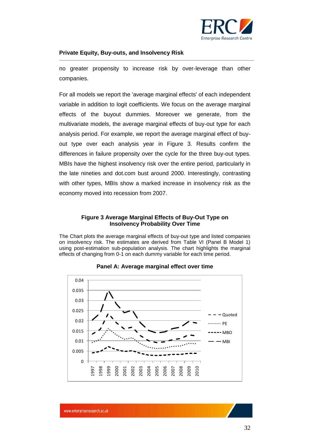

no greater propensity to increase risk by over-leverage than other companies.

For all models we report the 'average marginal effects' of each independent variable in addition to logit coefficients. We focus on the average marginal effects of the buyout dummies. Moreover we generate, from the multivariate models, the average marginal effects of buy-out type for each analysis period. For example, we report the average marginal effect of buyout type over each analysis year in Figure 3. Results confirm the differences in failure propensity over the cycle for the three buy-out types. MBIs have the highest insolvency risk over the entire period, particularly in the late nineties and dot.com bust around 2000. Interestingly, contrasting with other types, MBIs show a marked increase in insolvency risk as the economy moved into recession from 2007.

#### **Figure 3 Average Marginal Effects of Buy-Out Type on Insolvency Probability Over Time**

The Chart plots the average marginal effects of buy-out type and listed companies on insolvency risk. The estimates are derived from Table VI (Panel B Model 1) using post-estimation sub-population analysis. The chart highlights the marginal effects of changing from 0-1 on each dummy variable for each time period.



#### **Panel A: Average marginal effect over time**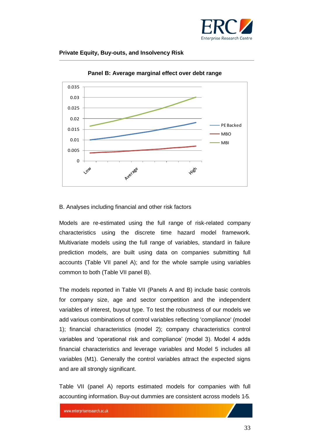![](_page_32_Picture_0.jpeg)

![](_page_32_Figure_2.jpeg)

**Panel B: Average marginal effect over debt range**

#### <span id="page-32-0"></span>B. Analyses including financial and other risk factors

Models are re-estimated using the full range of risk-related company characteristics using the discrete time hazard model framework. Multivariate models using the full range of variables, standard in failure prediction models, are built using data on companies submitting full accounts (Table VII panel A); and for the whole sample using variables common to both (Table VII panel B).

The models reported in Table VII (Panels A and B) include basic controls for company size, age and sector competition and the independent variables of interest, buyout type. To test the robustness of our models we add various combinations of control variables reflecting 'compliance' (model 1); financial characteristics (model 2); company characteristics control variables and 'operational risk and compliance' (model 3). Model 4 adds financial characteristics and leverage variables and Model 5 includes all variables (M1). Generally the control variables attract the expected signs and are all strongly significant.

Table VII (panel A) reports estimated models for companies with full accounting information. Buy-out dummies are consistent across models 1-5.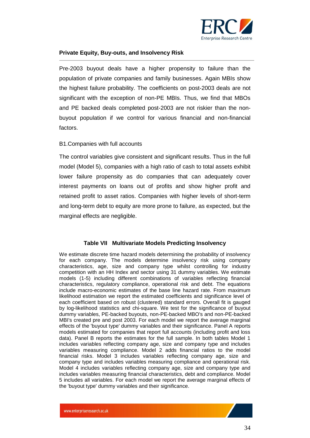![](_page_33_Picture_0.jpeg)

Pre-2003 buyout deals have a higher propensity to failure than the population of private companies and family businesses. Again MBIs show the highest failure probability. The coefficients on post-2003 deals are not significant with the exception of non-PE MBIs. Thus, we find that MBOs and PE backed deals completed post-2003 are not riskier than the nonbuyout population if we control for various financial and non-financial factors.

#### <span id="page-33-0"></span>B1.Companies with full accounts

The control variables give consistent and significant results. Thus in the full model (Model 5), companies with a high ratio of cash to total assets exhibit lower failure propensity as do companies that can adequately cover interest payments on loans out of profits and show higher profit and retained profit to asset ratios. Companies with higher levels of short-term and long-term debt to equity are more prone to failure, as expected, but the marginal effects are negligible.

#### **Table VII Multivariate Models Predicting Insolvency**

We estimate discrete time hazard models determining the probability of insolvency for each company. The models determine insolvency risk using company characteristics, age, size and company type whilst controlling for industry competition with an HH Index and sector using 31 dummy variables. We estimate models (1-5) including different combinations of variables reflecting financial characteristics, regulatory compliance, operational risk and debt. The equations include macro-economic estimates of the base line hazard rate. From maximum likelihood estimation we report the estimated coefficients and significance level of each coefficient based on robust (clustered) standard errors. Overall fit is gauged by log-likelihood statistics and chi-square. We test for the significance of buyout dummy variables, PE-backed buyouts, non-PE-backed MBO's and non-PE-backed MBI's created pre and post 2003. For each model we report the average marginal effects of the 'buyout type' dummy variables and their significance. Panel A reports models estimated for companies that report full accounts (including profit and loss data). Panel B reports the estimates for the full sample. In both tables Model 1 includes variables reflecting company age, size and company type and includes variables measuring compliance. Model 2 adds financial ratios to the model financial risks. Model 3 includes variables reflecting company age, size and company type and includes variables measuring compliance and operational risk. Model 4 includes variables reflecting company age, size and company type and includes variables measuring financial characteristics, debt and compliance. Model 5 includes all variables. For each model we report the average marginal effects of the 'buyout type' dummy variables and their significance.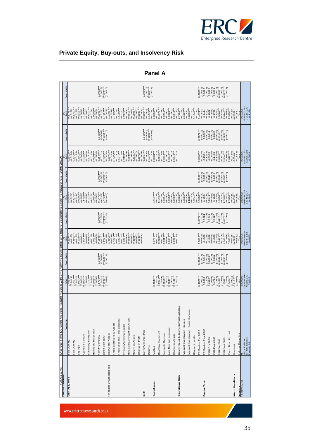![](_page_34_Picture_0.jpeg)

| <b>Full Accounts</b>      | piscrete Time Duration Models: hazard models with time-varying covariates and macro dependent baseline hazard rate (1995-2010) [ |                                                                                                            |                                                                                                       |                                                                                                                 |                                                                                                     |                                                                                  |                                                                                                         |                                                                                                                                                                                                                                                                                                              |                                                                                                                                                                                                                                                                                                 |                                                                                                                                                                                                                                                                                 |                                                                                                 |
|---------------------------|----------------------------------------------------------------------------------------------------------------------------------|------------------------------------------------------------------------------------------------------------|-------------------------------------------------------------------------------------------------------|-----------------------------------------------------------------------------------------------------------------|-----------------------------------------------------------------------------------------------------|----------------------------------------------------------------------------------|---------------------------------------------------------------------------------------------------------|--------------------------------------------------------------------------------------------------------------------------------------------------------------------------------------------------------------------------------------------------------------------------------------------------------------|-------------------------------------------------------------------------------------------------------------------------------------------------------------------------------------------------------------------------------------------------------------------------------------------------|---------------------------------------------------------------------------------------------------------------------------------------------------------------------------------------------------------------------------------------------------------------------------------|-------------------------------------------------------------------------------------------------|
| <b>Control Variables</b>  | Variable                                                                                                                         | b/se<br>$\widehat{\tau}$                                                                                   | Ave. dydx                                                                                             | $^{10}$<br>$\widehat{\alpha}$                                                                                   | Ave. dydx                                                                                           | $b$ /se<br>ම                                                                     | Ave. dydx                                                                                               | $b$ /se<br>$\widehat{a}$                                                                                                                                                                                                                                                                                     | Ave. dydx                                                                                                                                                                                                                                                                                       | $\frac{6}{26}$                                                                                                                                                                                                                                                                  | Ave. dydx                                                                                       |
| Size, Age, Type           | Size Dummy                                                                                                                       | (0.0119)<br>$-0.4868$ *                                                                                    |                                                                                                       | (0.0123)<br>$-0.2974$                                                                                           |                                                                                                     | (0.0121)<br>$-0.5464*$                                                           |                                                                                                         | (0.0126)<br>$-0.2992$ <sup>*</sup>                                                                                                                                                                                                                                                                           |                                                                                                                                                                                                                                                                                                 | (0.0129)<br>$-0.5775$                                                                                                                                                                                                                                                           |                                                                                                 |
|                           | Size Dummy                                                                                                                       | $0.3687***$                                                                                                |                                                                                                       | $-0.3569***$                                                                                                    |                                                                                                     | $-0.3077***$                                                                     |                                                                                                         | $0.3329***$                                                                                                                                                                                                                                                                                                  |                                                                                                                                                                                                                                                                                                 | $-0.2767***$                                                                                                                                                                                                                                                                    |                                                                                                 |
|                           | <b>POR</b> Age                                                                                                                   | $-0.1095***$<br>(0.0131)                                                                                   |                                                                                                       | (0.0133)                                                                                                        |                                                                                                     | $-0.0987***$<br>(0.0131)                                                         |                                                                                                         | (0.0135)                                                                                                                                                                                                                                                                                                     |                                                                                                                                                                                                                                                                                                 | (0.0135)<br>$-0.0915**$                                                                                                                                                                                                                                                         |                                                                                                 |
|                           |                                                                                                                                  | (0.0051)                                                                                                   |                                                                                                       | $-0.1034***$<br>(0.0051)                                                                                        |                                                                                                     |                                                                                  |                                                                                                         |                                                                                                                                                                                                                                                                                                              |                                                                                                                                                                                                                                                                                                 | (0.0050)                                                                                                                                                                                                                                                                        |                                                                                                 |
|                           | Agerisk 3-9 years                                                                                                                | $0.1954***$<br>(0.0095)                                                                                    |                                                                                                       | $0.1544***$<br>(0.0095)                                                                                         |                                                                                                     | $(0.0050)$<br>$0.1422***$<br>$(0.0096)$                                          |                                                                                                         | $-0.1002***$<br>$(0.0050)$<br>$0.1533***$<br>$(0.0095)$                                                                                                                                                                                                                                                      |                                                                                                                                                                                                                                                                                                 | (260000)                                                                                                                                                                                                                                                                        |                                                                                                 |
|                           | Subsidiary Company                                                                                                               |                                                                                                            |                                                                                                       |                                                                                                                 |                                                                                                     |                                                                                  |                                                                                                         |                                                                                                                                                                                                                                                                                                              |                                                                                                                                                                                                                                                                                                 |                                                                                                                                                                                                                                                                                 |                                                                                                 |
|                           | Herfindahl-Hirschman                                                                                                             | $0.2132***$<br>$(0.0120)$<br>$0.0001***$                                                                   |                                                                                                       | $-0.2697$<br>$(0.0120)$<br>$0.0001$                                                                             |                                                                                                     | $-0.1718$<br>$(0.0121)$<br>$0.0001$                                              |                                                                                                         | $-0.2747$<br>(0.0123)<br>0.0001***                                                                                                                                                                                                                                                                           |                                                                                                                                                                                                                                                                                                 | $\begin{array}{l} -0.2217^{***} \\ \begin{array}{c} (0.0124) \\ 0.0001^{***} \\ 0.0000 \end{array} \end{array}$                                                                                                                                                                 |                                                                                                 |
|                           | Family Company                                                                                                                   | $-0.1739***$<br>(0.0000)                                                                                   | $-0.0028***$                                                                                          | $-0.1565***$<br>(0.0000)                                                                                        | $-0.0025***$                                                                                        | (0.0000)<br>$-0.1470$<br>(0.0102)                                                | $-0.0024***$                                                                                            | $-0.1570***$<br>(0.0101)<br>(0.0000)                                                                                                                                                                                                                                                                         | $-0.0025***$                                                                                                                                                                                                                                                                                    | $-0.1369***$<br>$(0.0102)$                                                                                                                                                                                                                                                      | $-0.0022***$                                                                                    |
|                           | Listed Company                                                                                                                   | (0.0101)<br>$0.5681***$                                                                                    | $(0.0002)$<br>$0.0125***$<br>$(0.0011)$                                                               | $0.5024***$<br>(0.0101)                                                                                         | 0.0106***<br>(0.0002)                                                                               |                                                                                  | $(0.0002)$<br>$0.0096***$<br>$(0.0010)$                                                                 | $0.4990***$                                                                                                                                                                                                                                                                                                  | $(0.0002)$<br>$0.0105***$                                                                                                                                                                                                                                                                       | $0.4257***$                                                                                                                                                                                                                                                                     | $(0.0002)$<br>$0.0084***$                                                                       |
|                           |                                                                                                                                  | (0.0398)                                                                                                   |                                                                                                       | (0.0399)                                                                                                        | (0.0010)                                                                                            | $0.4723$<br>$(0.0403)$                                                           |                                                                                                         | (0.0400)                                                                                                                                                                                                                                                                                                     |                                                                                                                                                                                                                                                                                                 | (0.0408)                                                                                                                                                                                                                                                                        | (0.0010)                                                                                        |
| Financial Characteristics | Cash/Total Assets                                                                                                                |                                                                                                            |                                                                                                       | $-1.3556***$<br>(0.0249)                                                                                        |                                                                                                     |                                                                                  |                                                                                                         | $-1.3341***$<br>(0.0249)                                                                                                                                                                                                                                                                                     |                                                                                                                                                                                                                                                                                                 | $-1.798***$<br>$(0.0249)$                                                                                                                                                                                                                                                       |                                                                                                 |
|                           | Trade debtors/Total Assets                                                                                                       |                                                                                                            |                                                                                                       | $0.4209***$<br>(0.0170)                                                                                         |                                                                                                     |                                                                                  |                                                                                                         | $0.4092***$                                                                                                                                                                                                                                                                                                  |                                                                                                                                                                                                                                                                                                 | $0.4102***$<br>(0.0174)                                                                                                                                                                                                                                                         |                                                                                                 |
|                           | Trade Creditors/Total Liabilities                                                                                                |                                                                                                            |                                                                                                       | (0.0153)<br>$0.5323***$                                                                                         |                                                                                                     |                                                                                  |                                                                                                         | $(0.0171)$<br>$0.5749***$                                                                                                                                                                                                                                                                                    |                                                                                                                                                                                                                                                                                                 | (0.0161)<br>$0.5080**$                                                                                                                                                                                                                                                          |                                                                                                 |
|                           | nventory/Working Capital                                                                                                         |                                                                                                            |                                                                                                       | $0.0208***$                                                                                                     |                                                                                                     |                                                                                  |                                                                                                         |                                                                                                                                                                                                                                                                                                              |                                                                                                                                                                                                                                                                                                 |                                                                                                                                                                                                                                                                                 |                                                                                                 |
|                           | Retained Earnings/Total Assets                                                                                                   |                                                                                                            |                                                                                                       | (0.0004)                                                                                                        |                                                                                                     |                                                                                  |                                                                                                         |                                                                                                                                                                                                                                                                                                              |                                                                                                                                                                                                                                                                                                 |                                                                                                                                                                                                                                                                                 |                                                                                                 |
|                           | Return on Assets                                                                                                                 |                                                                                                            |                                                                                                       | (0.0033)                                                                                                        |                                                                                                     |                                                                                  |                                                                                                         |                                                                                                                                                                                                                                                                                                              |                                                                                                                                                                                                                                                                                                 |                                                                                                                                                                                                                                                                                 |                                                                                                 |
|                           | Change in Profit                                                                                                                 |                                                                                                            |                                                                                                       | $0.0048***$<br>(0.0087)                                                                                         |                                                                                                     |                                                                                  |                                                                                                         | $\begin{array}{l} 0.0156) \\ 0.0191 \\ -0.0004) \\ 0.0004) \\ 0.0003) \\ 0.0033) \\ 0.0033) \\ 0.0067 \\ -0.0067 \\ -0.0042 \\ -0.0042 \\ -0.0042 \\ -0.0042 \\ -0.0042 \\ -0.0042 \\ -0.0042 \\ -0.0042 \\ -0.0042 \\ -0.0042 \\ -0.0042 \\ -0.0042 \\ -0.0042 \\ -0.0042 \\ -0.0042 \\ -0.0042 \\ -0.0042$ |                                                                                                                                                                                                                                                                                                 | $\begin{array}{l} 0.070^{**}\\ 0.070^{**}\\ 0.0099\\ 0.003\\ 0.003\\ 0.003\\ 0.003\\ 0.003\\ 0.0004^{**}\\ 0.0004^{**}\\ 0.0004^{**}\\ 0.0004\\ 0.0004\\ 0.0004\\ 0.0000\\ 0.0004\\ 0.0004\\ 0.0004\\ 0.0004\\ 0.0004\\ 0.0004\\ 0.0000\\ 0.00004\\ 0.00004\\ 0.00004\\ 0.0000$ |                                                                                                 |
| Debt                      | EBITDA/Interest Paid                                                                                                             |                                                                                                            |                                                                                                       | (0.0004)                                                                                                        |                                                                                                     |                                                                                  |                                                                                                         | $-0.0004***$<br>(0.0004)                                                                                                                                                                                                                                                                                     | $-0.0000***$                                                                                                                                                                                                                                                                                    |                                                                                                                                                                                                                                                                                 | $-0.0000***$                                                                                    |
|                           | <b>Debt/TA</b>                                                                                                                   |                                                                                                            |                                                                                                       |                                                                                                                 |                                                                                                     |                                                                                  |                                                                                                         | $(0.0000)$<br>0.1679***                                                                                                                                                                                                                                                                                      | $(0.0000)$<br>$0.0028***$                                                                                                                                                                                                                                                                       |                                                                                                                                                                                                                                                                                 | $(0.0000)$<br>$0.0024***$                                                                       |
|                           |                                                                                                                                  |                                                                                                            |                                                                                                       |                                                                                                                 |                                                                                                     |                                                                                  |                                                                                                         |                                                                                                                                                                                                                                                                                                              |                                                                                                                                                                                                                                                                                                 |                                                                                                                                                                                                                                                                                 | (0.0003)                                                                                        |
| Compliance                | Audited                                                                                                                          | $0.4847***$<br>(0.0122)                                                                                    |                                                                                                       | $0.3736***$<br>(0.0120)                                                                                         |                                                                                                     | $0.4177***$<br>(0.0125)                                                          |                                                                                                         | $0.3631***$<br>(0.0121)                                                                                                                                                                                                                                                                                      |                                                                                                                                                                                                                                                                                                 | $0.3253***$<br>(0.0125)                                                                                                                                                                                                                                                         |                                                                                                 |
|                           | Cashflow Statement                                                                                                               | $-0.1971***$                                                                                               |                                                                                                       | $-0.2289***$                                                                                                    |                                                                                                     | $0.1468***$                                                                      |                                                                                                         | $-0.2336***$                                                                                                                                                                                                                                                                                                 |                                                                                                                                                                                                                                                                                                 | $0.1872***$<br>$(0.0154)$                                                                                                                                                                                                                                                       |                                                                                                 |
|                           | <b>Accounts Overdue</b>                                                                                                          | (0.0154)                                                                                                   |                                                                                                       | (0.0155)                                                                                                        |                                                                                                     | (0.0154)<br>$0.0011***$                                                          |                                                                                                         | (0.0155)                                                                                                                                                                                                                                                                                                     |                                                                                                                                                                                                                                                                                                 |                                                                                                                                                                                                                                                                                 |                                                                                                 |
|                           | ate filing last accounts                                                                                                         |                                                                                                            |                                                                                                       |                                                                                                                 |                                                                                                     | $(0.0001)$<br>$0.0033***$                                                        |                                                                                                         |                                                                                                                                                                                                                                                                                                              |                                                                                                                                                                                                                                                                                                 |                                                                                                                                                                                                                                                                                 |                                                                                                 |
|                           | Charge on Assets                                                                                                                 | $\begin{array}{c} 0.0018^{***}\\ (0.0001)\\ 0.0047^{***}\\ (0.0001)\\ (0.0001)\\ 0.7431^{***} \end{array}$ |                                                                                                       | $\begin{array}{l} 0.0017^{***} \\ (0.0001) \\ 0.0040^{***} \\ (0.0001) \\ (0.0001) \\ 0.5954^{***} \end{array}$ |                                                                                                     | $(0.0001)$<br>$0.6998***$                                                        |                                                                                                         | $\begin{array}{l} 0.0017^{***} \\ 0.0001) \\ 0.0040^{***} \\ 0.0001) \\ 0.5842^{***} \\ 0.5842^{***} \\ 0.0131) \end{array}$                                                                                                                                                                                 |                                                                                                                                                                                                                                                                                                 | $\begin{array}{l} 0.0011^{***}\\ (0.0001)\\ (0.0029^{***}\\ (0.0001)\\ (0.0001)\\ 0.5642^{***} \end{array}$                                                                                                                                                                     |                                                                                                 |
| <b>Operational Risk</b>   | County Court Judgements/Total Liabilities                                                                                        | (0.0131)                                                                                                   |                                                                                                       | (0.0130)                                                                                                        |                                                                                                     | (0.0132)<br>$3.0065***$                                                          |                                                                                                         |                                                                                                                                                                                                                                                                                                              |                                                                                                                                                                                                                                                                                                 | $(0.0132)$<br>2.7056***<br>$(0.0224)$                                                                                                                                                                                                                                           |                                                                                                 |
|                           | Account Qualification - Severe                                                                                                   |                                                                                                            |                                                                                                       |                                                                                                                 |                                                                                                     | $0.8581***$<br>(0.0222)                                                          |                                                                                                         |                                                                                                                                                                                                                                                                                                              |                                                                                                                                                                                                                                                                                                 | $0.6697***$                                                                                                                                                                                                                                                                     |                                                                                                 |
|                           | Account Qualification - Going Concern                                                                                            |                                                                                                            |                                                                                                       |                                                                                                                 |                                                                                                     | (0.0447)<br>$1.1862***$                                                          |                                                                                                         |                                                                                                                                                                                                                                                                                                              |                                                                                                                                                                                                                                                                                                 | $(0.0441)$<br>$0.8798***$                                                                                                                                                                                                                                                       |                                                                                                 |
|                           | Change in Auditor                                                                                                                |                                                                                                            |                                                                                                       |                                                                                                                 |                                                                                                     | (0.0209)<br>$0.2241***$                                                          |                                                                                                         |                                                                                                                                                                                                                                                                                                              |                                                                                                                                                                                                                                                                                                 | (0.0217)<br>$0.1945***$                                                                                                                                                                                                                                                         |                                                                                                 |
|                           | PE Backed Pre 2003                                                                                                               | $0.4821***$                                                                                                | $0.0102***$                                                                                           | $0.3880***$                                                                                                     | $0.0077***$                                                                                         | (0.0143)<br>$0.5088***$<br>$(0.0518)$                                            | $0.0106***$                                                                                             | $0.3662***$                                                                                                                                                                                                                                                                                                  | $0.0072***$                                                                                                                                                                                                                                                                                     | (0.0143)<br>$0.4074**$                                                                                                                                                                                                                                                          | $0.0080***$                                                                                     |
| <b>Buyout Type</b>        | PE Backed Post 2003                                                                                                              | (0.0511)<br>0.0993                                                                                         | $\begin{array}{l} (0.0013) \\ 0.0017 \\ (0.0023) \\ (0.0039^{**} \\ (0.0014) \\ (0.0014) \end{array}$ | $\begin{array}{l} (0.0509) \\ (0.1370) \\ (0.1235) \\ (0.1235) \\ (0.0696) \\ (0.0696) \end{array}$             | $\begin{array}{l} (0.0012) \\ 0.0024 \\ 0.0023 \\ 0.0019 \\ 0.0013 \\ 0.0013 \\ 0.0027 \end{array}$ |                                                                                  | $\begin{array}{c} (0.0013) \\ 0.0018 \\ (0.0018) \\ (0.0022) \\ (0.0043^{***}) \\ (0.0014) \end{array}$ | (0.0509)<br>0.1321                                                                                                                                                                                                                                                                                           | $\begin{smallmatrix} 6.0010 \\ 0.0023 \\ 0.00023 \\ 0.0001 \\ 0.0010 \\ 0.0003 \\ 0.0000 \\ 0.0000 \\ 0.0000 \\ 0.0000 \\ 0.0000 \\ 0.0000 \\ 0.0000 \\ 0.0000 \\ 0.0000 \\ 0.0000 \\ 0.0000 \\ 0.0000 \\ 0.0000 \\ 0.0000 \\ 0.0000 \\ 0.0000 \\ 0.0000 \\ 0.0000 \\ 0.0000 \\ 0.0000 \\ 0.00$ | $\begin{array}{l} 0.0513\\ 0.1443\\ 0.1221\\ 0.0100\\ 0.0100\\ 0.0100\\ 0.0100\\ 0.0100\\ 0.0100\\ 0.0100\\ 0.0100\\ 0.0100\\ 0.0100\\ 0.0100\\ 0.0100\\ 0.0100\\ 0.0100\\ 0.0100\\ 0.0100\\ 0.0100\\ 0.0100\\ 0.0100\\ 0.0100\\ 0.0100\\ 0.0100\\ 0.0100\\ 0.01$               | $\begin{array}{l} (0.0012)\\ 0.0023\\ 0.0023\\ 0.00033\\ 0.00013\\ 0.0031\\ 0.0031 \end{array}$ |
|                           | MBO Pre 2003                                                                                                                     | $(0.1238)$<br>$0.2122**$<br>$(0.0698)$                                                                     |                                                                                                       |                                                                                                                 |                                                                                                     |                                                                                  |                                                                                                         |                                                                                                                                                                                                                                                                                                              |                                                                                                                                                                                                                                                                                                 |                                                                                                                                                                                                                                                                                 |                                                                                                 |
|                           | MBO Post 2003                                                                                                                    | 0.1721                                                                                                     | 0.0031                                                                                                | 0.1500                                                                                                          |                                                                                                     | $0.1054$<br>$0.1236$<br>$0.2349$<br>$0.0698$<br>$0.0693$<br>$0.1983$<br>$0.1369$ | 0.0036                                                                                                  | $\begin{array}{c} (0.1233) \\ 0.0985 \\ (0.0696) \\ 0.1423 \end{array}$                                                                                                                                                                                                                                      |                                                                                                                                                                                                                                                                                                 |                                                                                                                                                                                                                                                                                 |                                                                                                 |
|                           |                                                                                                                                  | (0.1362)                                                                                                   | (0.0027)                                                                                              | (0.1360)                                                                                                        | (0.0026)                                                                                            |                                                                                  | (0.0027)                                                                                                | (0.1359)                                                                                                                                                                                                                                                                                                     |                                                                                                                                                                                                                                                                                                 |                                                                                                                                                                                                                                                                                 | (0.0026)                                                                                        |
|                           | MBI Pre 2003                                                                                                                     | $0.6433***$<br>(0.1396)                                                                                    | $0.0147***$                                                                                           | $0.5403***$<br>(0.1408)                                                                                         | $0.0116***$                                                                                         | (0.1370)<br>$0.6058**$                                                           | $0.0132**$                                                                                              | (0.1405)<br>$0.5299***$                                                                                                                                                                                                                                                                                      |                                                                                                                                                                                                                                                                                                 | (0.1375)<br>$0.5086**$                                                                                                                                                                                                                                                          | $0.0105***$                                                                                     |
|                           | MBI Post 2003                                                                                                                    | $1.0592***$<br>(0.1949)                                                                                    | $(0.0042)$<br>$0.0299***$<br>$(0.0085)$                                                               | 1.0062***<br>(0.1968)                                                                                           | $(0.0038)$<br>$0.0272***$<br>$(0.0080)$                                                             | (0.1919)<br>9885                                                                 | $(0.0039)$<br>$0.0305***$<br>$(0.0082)$                                                                 | (0.1983)<br>$0.9942***$                                                                                                                                                                                                                                                                                      |                                                                                                                                                                                                                                                                                                 | $1.0447***$<br>(0.1940)                                                                                                                                                                                                                                                         | $\begin{array}{c} (0.0035) \\ 0.0278*** \\ (0.0078) \end{array}$                                |
|                           | Macro Base Hazard                                                                                                                | $2.0454***$<br>(0.0421)                                                                                    |                                                                                                       | $2.0068***$<br>(0.0415)                                                                                         |                                                                                                     | (0.0426)<br>1.9380***                                                            |                                                                                                         | $2.0128***$<br>(0.0415)                                                                                                                                                                                                                                                                                      |                                                                                                                                                                                                                                                                                                 | 1.9155***                                                                                                                                                                                                                                                                       |                                                                                                 |
| Macro Conditions          | Constant                                                                                                                         | $6.7192***$                                                                                                |                                                                                                       | $-6.6231**$                                                                                                     |                                                                                                     | 6.6552**                                                                         |                                                                                                         | 6.6346***                                                                                                                                                                                                                                                                                                    |                                                                                                                                                                                                                                                                                                 | $6.5891***$<br>$(0.0587)$<br>(0.0420)                                                                                                                                                                                                                                           |                                                                                                 |
| Industry<br>Failed=57,76  | ndustry Dummies                                                                                                                  | (0.0586)<br>Yes                                                                                            |                                                                                                       | (0.0582)<br>Yes                                                                                                 |                                                                                                     | (0.0588)<br>Yes                                                                  |                                                                                                         | (0.0583)<br>$\frac{1}{\sqrt{2}}$                                                                                                                                                                                                                                                                             |                                                                                                                                                                                                                                                                                                 | Yes                                                                                                                                                                                                                                                                             |                                                                                                 |
|                           | Log Likelhood<br>LR Chi-Square<br>Pseudo R2                                                                                      | $-273359.940$<br>$41802.649$<br>$0.0615$<br>3320392                                                        |                                                                                                       | $-265500.035$<br>$53044.513$<br>$0.0883$<br>S626158                                                             |                                                                                                     | $-264456.775$<br>64545.277<br>0.0921<br>3320392                                  |                                                                                                         | $-265321.920$<br>$53275.583$<br>$0.0889$<br><b>S6Z6182</b>                                                                                                                                                                                                                                                   |                                                                                                                                                                                                                                                                                                 | $-258342.547$<br>72111.175<br>0.1128<br><b>S6Z6188</b>                                                                                                                                                                                                                          |                                                                                                 |
|                           |                                                                                                                                  |                                                                                                            |                                                                                                       |                                                                                                                 |                                                                                                     |                                                                                  |                                                                                                         |                                                                                                                                                                                                                                                                                                              |                                                                                                                                                                                                                                                                                                 |                                                                                                                                                                                                                                                                                 |                                                                                                 |

#### **Panel A**

www.enterpriseresearch.ac.uk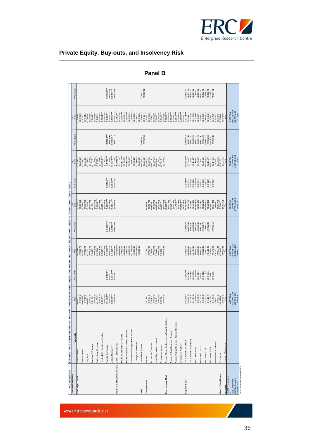![](_page_35_Picture_0.jpeg)

|  |  | Private Equity, Buy-outs, and Insolvency Risk |
|--|--|-----------------------------------------------|
|--|--|-----------------------------------------------|

| <b>ALL Companies</b>                                                         | Discrete Time Duration Models: hazard models with time-varying covariates and macro dependent baseline hazard rate (1995-2010) |                                         |                                                                  |                                                      |                           |                                                                                                     |                           |                                                                                                                   |                                    |                                                                     |                                                                                                             |
|------------------------------------------------------------------------------|--------------------------------------------------------------------------------------------------------------------------------|-----------------------------------------|------------------------------------------------------------------|------------------------------------------------------|---------------------------|-----------------------------------------------------------------------------------------------------|---------------------------|-------------------------------------------------------------------------------------------------------------------|------------------------------------|---------------------------------------------------------------------|-------------------------------------------------------------------------------------------------------------|
| <b>Control Variables</b>                                                     | Variable                                                                                                                       | $^{(1)}_{\text{b/se}}$<br>-0.4677*      | Ave. dydx                                                        | $\frac{2}{5}$                                        | Ave. dydx                 | $\begin{array}{r} (3) \\ \text{b/s} \\ \text{b/s} \\ -0.5288 \\ (0.0066) \\ -0.3646 \end{array}$    | Ave. dydx                 | $\frac{1}{(p)}$                                                                                                   | Ave. dydx                          | $\frac{69}{(9)}$                                                    | Ave. dydx                                                                                                   |
| Size, Age, Type                                                              | Size Dummy                                                                                                                     | (0.0066)                                |                                                                  | (0.0067)<br>$-0.4560$                                |                           |                                                                                                     |                           | (0.0068)<br>$-0.4335$                                                                                             |                                    | (0.0068)<br>$-0.4936$                                               |                                                                                                             |
|                                                                              | Size Dummy                                                                                                                     | $0.4346$<br>$(0.0109)$                  |                                                                  | $-0.3291$<br>$(0.0110)$                              |                           |                                                                                                     |                           | $0.3335**$                                                                                                        |                                    | $-0.2712***$                                                        |                                                                                                             |
|                                                                              | -og Age                                                                                                                        | $-0.0962***$                            |                                                                  | $-0.1031***$                                         |                           | $0.0834***$                                                                                         |                           | (0.0110)<br>$-0.0966**$                                                                                           |                                    | (0.0111)<br>$0.0838**$                                              |                                                                                                             |
|                                                                              |                                                                                                                                |                                         |                                                                  |                                                      |                           |                                                                                                     |                           |                                                                                                                   |                                    |                                                                     |                                                                                                             |
|                                                                              | Agerisk 3-9 years                                                                                                              | $(0.0035)$<br>$0.2100***$<br>$(0.0059)$ |                                                                  | $\begin{array}{c} (0.0036) \\ 0.1603*** \end{array}$ |                           | $\begin{array}{c} (0.0034) \\ 0.1581*** \end{array}$                                                |                           | $(0.0036)$<br>$0.1577$<br>$(0.0059)$                                                                              |                                    | $\begin{array}{c} (0.0035) \\ 0.1147^{***} \\ (0.0060) \end{array}$ |                                                                                                             |
|                                                                              | Subsidiary Company                                                                                                             | $-0.1592***$<br>(0.0087)                |                                                                  | $-0.2988***$<br>(0.0088)                             |                           | $-0.1337***$<br>(0.0088)                                                                            |                           | $-0.2706***$                                                                                                      |                                    | $-0.2302***$<br>(0.0088)                                            |                                                                                                             |
|                                                                              | Herfindahl-Hirschman Index                                                                                                     | $0.0001***$                             |                                                                  | $0.0001***$                                          |                           | $0.0001***$                                                                                         |                           | $(0.0088)$<br>$0.0001***$                                                                                         |                                    | $0.0001***$                                                         |                                                                                                             |
|                                                                              | Family Company                                                                                                                 | (0.0000)<br>$-0.1950**$                 | $-0.0032***$                                                     | $-0.1708***$<br>(0.0000)                             | $0.0028***$               | $0.1653**$<br>(0.0000)                                                                              | $-0.0028***$              | $\begin{array}{l} (0.0000) \\ -0.749*** \\ (0.0677) \\ (0.0677) \\ (0.674*** \\ (0.0380) \\ (0.0398) \end{array}$ | $-0.0028***$                       | (0.0000)                                                            | $-0.0024***$                                                                                                |
|                                                                              | isted Company                                                                                                                  | $(0.0057)$<br>0.5329***                 | $\begin{array}{c} (0.0001) \\ 0.0114*** \\ (0.0011) \end{array}$ | $(0.0057)$<br>$0.4415***$                            | $(0.0001)$<br>$0.0090***$ | $(0.0057)$<br>0.4471 ****                                                                           | $(0.0001)$<br>$0.0089***$ |                                                                                                                   | $(0.0001)$<br>$0.0096***$          | $-0.1496$<br>$(0.0057)$<br>$0.4009$<br>$(0.0407)$                   | $(0.0001)$<br>$0.0077***$                                                                                   |
| Financial Characteristics                                                    | Cash/Total Assets                                                                                                              | (0.0395)                                |                                                                  | $-1.9783***$<br>(0.0398)                             | (0.0010)                  |                                                                                                     | (0.0010)                  | $-1.9046"$                                                                                                        | (0.0010)                           | $-1.7272**$                                                         |                                                                                                             |
|                                                                              | Trade debtors/Total Assets                                                                                                     |                                         |                                                                  | $0.4951***$<br>(0.0168)                              |                           |                                                                                                     |                           | $(0.0169)$<br>$0.5110***$                                                                                         |                                    | $0.5182***$<br>(0.0168)                                             |                                                                                                             |
|                                                                              | Trade Creditors/Total Liabilities                                                                                              |                                         |                                                                  | $0.1992***$<br>(0.0088)                              |                           |                                                                                                     |                           | $(0.0089)$<br>$0.3180***$                                                                                         |                                    | (0.0091)<br>$0.2926***$                                             |                                                                                                             |
|                                                                              | Retained Earnings/Total Assets                                                                                                 |                                         |                                                                  | $(0.0072)$<br>-0.1966***                             |                           |                                                                                                     |                           | $(0.0084)$<br>$-0.1827$<br>$(0.0019)$                                                                             |                                    | $(0.0084)$<br>$-0.1685***$<br>$(0.0020)$                            |                                                                                                             |
|                                                                              | Change in Networth                                                                                                             |                                         |                                                                  | (0.0018)<br>$-0.0099$                                |                           |                                                                                                     |                           |                                                                                                                   |                                    | $-0.0071$ **                                                        |                                                                                                             |
| Debt                                                                         | Debt/Total Assets                                                                                                              |                                         |                                                                  | (0.0006)                                             |                           |                                                                                                     |                           | $-0.0089$<br>$(0.0006)$<br>$0.4005$                                                                               | $0.0066***$                        | $(0.0006)$<br>$0.3562***$                                           | $0.0057***$                                                                                                 |
| Compliance                                                                   | Audited                                                                                                                        | $0.4118***$                             |                                                                  | $0.3796***$                                          |                           | $3.3464***$                                                                                         |                           | (0.0122)<br>$0.3945**$                                                                                            | (0.0002)                           | (0.0124)                                                            | (0.0002)                                                                                                    |
|                                                                              | Accounts Overdue                                                                                                               | $(0.0071)$<br>$0.0015***$               |                                                                  | $(0.0070)$<br>$0.0014***$                            |                           | $(0.0072)$<br>0.0006***                                                                             |                           | $(0.0070)$<br>$0.0014***$                                                                                         |                                    | $0.3398$<br>$(0.0072)$<br>$0.0006$<br>(0.0000)                      |                                                                                                             |
|                                                                              | ate filing last accounts                                                                                                       | (0.0000)<br>$0.0051**$                  |                                                                  | (0.0000)<br>$0.0044***$<br>(0.0000)                  |                           | (0.0000)<br>(0.0000)<br>0.0038**                                                                    |                           | (0.0000)<br>0.0044**                                                                                              |                                    | $0.0033***$                                                         |                                                                                                             |
|                                                                              | Charge on Assets                                                                                                               | $(0.0000)$<br>$0.8748***$               |                                                                  | 0.7550***                                            |                           | $0.8317***$                                                                                         |                           | $(0.0000)$<br>$0.7417***$                                                                                         |                                    | $(0.0000)$<br>$0.7160***$                                           |                                                                                                             |
| <b>Operational Risk</b>                                                      | County Court Judgements/Total Liabilities                                                                                      | (0.0085)                                |                                                                  | (0.0084)                                             |                           | $3.0882***$<br>$(0.0128)$<br>$0.9101***$<br>(0.0086)                                                |                           | (0.0084)                                                                                                          |                                    | (0.0085)                                                            |                                                                                                             |
|                                                                              | Account Qualification - Severe                                                                                                 |                                         |                                                                  |                                                      |                           |                                                                                                     |                           |                                                                                                                   |                                    | $2.8207$ ***<br>(0.0128)<br>0.7842 ***                              |                                                                                                             |
|                                                                              | Account Qualification - Going Concern                                                                                          |                                         |                                                                  |                                                      |                           | $(0.0331)$<br>1.1756***                                                                             |                           |                                                                                                                   |                                    | (0.0323)<br>$0.9014***$                                             |                                                                                                             |
|                                                                              | Change in Auditor                                                                                                              |                                         |                                                                  |                                                      |                           | $(0.0169)$<br>0.2283***                                                                             |                           |                                                                                                                   |                                    | (0.0173)<br>$0.2008***$                                             |                                                                                                             |
| <b>Buyout Type</b>                                                           | PE Backed Pre 2003                                                                                                             | 0.4339****<br>(0.0470)                  | $0.0089***$<br>(0.0012)                                          | $0.3350***$<br>(0.0468)                              | $0.0065***$<br>(0.0010)   | $\begin{array}{c} (0.0090) \\ 0.4540^{***} \\ (0.0475) \\ (0.0475) \\ 0.1091 \end{array}$           | $0.0091***$<br>(0.0012)   | $0.3433***$<br>(0.0468)                                                                                           | $0.0066***$<br>(0.0011)            | $(1240000)$<br>0.3771***                                            | $0.0072***$                                                                                                 |
|                                                                              | PE Backed Post 2003                                                                                                            | 0.1054                                  | 0.0018                                                           | 0.0705                                               | 0.0012                    |                                                                                                     | 0.0019                    | 0.0856                                                                                                            | 0.0015                             | 0.1020                                                              |                                                                                                             |
|                                                                              | <b>VIBO Pre 2003</b>                                                                                                           | (0.1111)<br>$0.2069**$                  | $0.0038***$<br>(0.0020)                                          | (0.1110)<br>0.0947                                   | (0.0020)<br>0.0016        | $0.2349***$<br>(0.1109)                                                                             | 0.0042***<br>(0.0020)     | (0.1110)<br>0.1076                                                                                                | (0.0020)<br>0.0019                 | (0.1100)                                                            | $\begin{array}{l} (0.0011) \\ (0.0017) \\ (0.0019) \\ (0.0024) \\ (0.0024) \\ (0.0010) \end{array}$         |
|                                                                              | MB0 Post 2003                                                                                                                  | (0.0552)<br>0.1527                      | (0.0011)<br>0.0027                                               | (0.0550)<br>0.0534                                   | (0.0010)<br>0.0009        | (0.0548)                                                                                            | (0.0011)<br>0.0032        | (0.0550)<br>0.0660                                                                                                | (0.0010)<br>0.0011                 | $\begin{array}{c} 0.1393^* \\ 0.0547) \\ 0.0933 \end{array}$        | 0.0016                                                                                                      |
|                                                                              | VIBI Pre 2003                                                                                                                  | $(0.0962)$<br>$0.5252***$<br>$(0.1167)$ | (0.0018)                                                         | $0.4431***$<br>$(0.1154)$<br>(0.0958)                | $0.0090***$<br>(0.0017)   |                                                                                                     | $0.0090***$<br>(0.0018)   | $(0.0958)$<br>$0.4499$<br>$(0.1154)$                                                                              | (0.0017)                           | $0.3948***$<br>$(0.1172)$<br>(0.0950)                               |                                                                                                             |
|                                                                              | VIBI Post 2003                                                                                                                 | $0.9258***$                             | $0.0112$ ***<br>$(0.0031)$<br>$0.0242$ ***                       | $0.8516***$                                          | $(0.0028)$<br>$0.0211***$ | $\begin{array}{c} 0.1794 \\ (0.0957) \\ 0.4495*** \\ (0.1182) \\ (0.1182) \\ 0.9347*** \end{array}$ | (0.0029)<br>$0.0236**$    | $0.8610**$                                                                                                        | $0.0092$<br>$(0.0029)$<br>$0.0215$ | $0.8704***$                                                         | $\begin{array}{c} (0.0017) \\ 0.0076^{***} \\ (0.0027) \\ 0.0210^{***} \\ (0.0049) \\ (0.0049) \end{array}$ |
|                                                                              | Macro Base Hazard                                                                                                              | (0.1430)<br>$1.9481***$                 | (0.0055)                                                         | $1.9107***$<br>(0.1439)                              | (0.0051)                  | (0.1433)<br>1.8598***                                                                               | (0.0053)                  | (0.1438)<br>$1.9008***$                                                                                           | (0.0051)                           | $1.8294***$<br>(0.1439)                                             |                                                                                                             |
| Macro Conditions                                                             | Constant                                                                                                                       | (0.0273)<br>6.9228**                    |                                                                  | 6.7465***<br>(0.0272)                                |                           | (0.0275)<br>6.8403**                                                                                |                           | $6.9173**$<br>(0.0273)                                                                                            |                                    | 6.8594**<br>(0.0275)                                                |                                                                                                             |
| Industry                                                                     | ndustry Dummies                                                                                                                | (0.0366)<br>Yes                         |                                                                  | $(0.0368)$<br>Yes                                    |                           | $(0.0366)$<br>Yes                                                                                   |                           | (0.0370)<br>Yes                                                                                                   |                                    | $(0.0370)$<br>Yes                                                   |                                                                                                             |
| $False = 153,513$                                                            |                                                                                                                                | 8937764                                 |                                                                  | 8937764                                              |                           | 8937764                                                                                             |                           | 8937764                                                                                                           |                                    | 8937764                                                             |                                                                                                             |
| Log Likelihood<br>LR Chi-Square<br>Pseudo R2<br>Note: Robust(clustered) SE's |                                                                                                                                | $-730494.044$<br>108806.152             |                                                                  | $-708051.238$<br>129322.475                          |                           | -704818.411<br>177013.409                                                                           |                           | -707540.408<br>129747.649                                                                                         |                                    | -686072.748<br>190765.293                                           |                                                                                                             |
|                                                                              |                                                                                                                                | 0.0588                                  |                                                                  | 0.0877                                               |                           | 0.0918                                                                                              |                           | 0.0883                                                                                                            |                                    | 0.1160                                                              |                                                                                                             |

#### **Panel B**

www.enterpriseresearch.ac.uk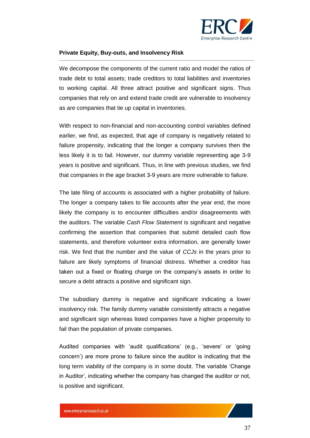![](_page_36_Picture_0.jpeg)

We decompose the components of the current ratio and model the ratios of trade debt to total assets; trade creditors to total liabilities and inventories to working capital. All three attract positive and significant signs. Thus companies that rely on and extend trade credit are vulnerable to insolvency as are companies that tie up capital in inventories.

With respect to non-financial and non-accounting control variables defined earlier, we find, as expected, that age of company is negatively related to failure propensity, indicating that the longer a company survives then the less likely it is to fail. However, our dummy variable representing age 3-9 years is positive and significant. Thus, in line with previous studies, we find that companies in the age bracket 3-9 years are more vulnerable to failure.

The late filing of accounts is associated with a higher probability of failure. The longer a company takes to file accounts after the year end, the more likely the company is to encounter difficulties and/or disagreements with the auditors. The variable *Cash Flow Statement* is significant and negative confirming the assertion that companies that submit detailed cash flow statements, and therefore volunteer extra information, are generally lower risk. We find that the number and the value of *CCJs* in the years prior to failure are likely symptoms of financial distress. Whether a creditor has taken out a fixed or floating charge on the company's assets in order to secure a debt attracts a positive and significant sign.

The subsidiary dummy is negative and significant indicating a lower insolvency risk. The family dummy variable consistently attracts a negative and significant sign whereas listed companies have a higher propensity to fail than the population of private companies.

Audited companies with 'audit qualifications' (e.g., 'severe' or 'going concern') are more prone to failure since the auditor is indicating that the long term viability of the company is in some doubt. The variable 'Change in Auditor', indicating whether the company has changed the auditor or not, is positive and significant.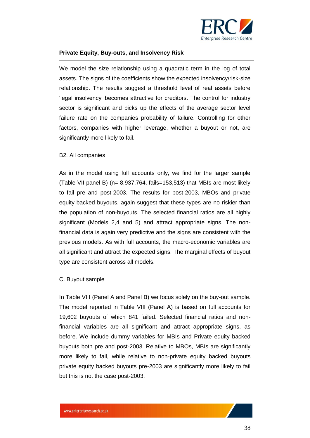![](_page_37_Picture_0.jpeg)

We model the size relationship using a quadratic term in the log of total assets. The signs of the coefficients show the expected insolvency/risk-size relationship. The results suggest a threshold level of real assets before 'legal insolvency' becomes attractive for creditors. The control for industry sector is significant and picks up the effects of the average sector level failure rate on the companies probability of failure. Controlling for other factors, companies with higher leverage, whether a buyout or not, are significantly more likely to fail.

#### <span id="page-37-0"></span>B2. All companies

As in the model using full accounts only, we find for the larger sample (Table VII panel B) (n= 8,937,764, fails=153,513) that MBIs are most likely to fail pre and post-2003. The results for post-2003, MBOs and private equity-backed buyouts, again suggest that these types are no riskier than the population of non-buyouts. The selected financial ratios are all highly significant (Models 2,4 and 5) and attract appropriate signs. The nonfinancial data is again very predictive and the signs are consistent with the previous models. As with full accounts, the macro-economic variables are all significant and attract the expected signs. The marginal effects of buyout type are consistent across all models.

#### <span id="page-37-1"></span>C. Buyout sample

In Table VIII (Panel A and Panel B) we focus solely on the buy-out sample. The model reported in Table VIII (Panel A) is based on full accounts for 19,602 buyouts of which 841 failed. Selected financial ratios and nonfinancial variables are all significant and attract appropriate signs, as before. We include dummy variables for MBIs and Private equity backed buyouts both pre and post-2003. Relative to MBOs, MBIs are significantly more likely to fail, while relative to non-private equity backed buyouts private equity backed buyouts pre-2003 are significantly more likely to fail but this is not the case post-2003.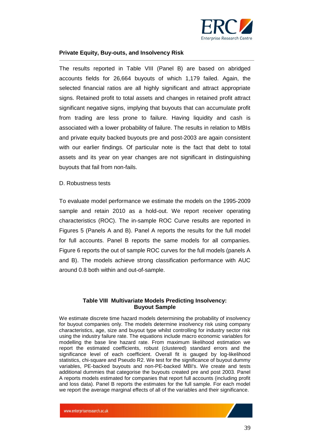![](_page_38_Picture_0.jpeg)

The results reported in Table VIII (Panel B) are based on abridged accounts fields for 26,664 buyouts of which 1,179 failed. Again, the selected financial ratios are all highly significant and attract appropriate signs. Retained profit to total assets and changes in retained profit attract significant negative signs, implying that buyouts that can accumulate profit from trading are less prone to failure. Having liquidity and cash is associated with a lower probability of failure. The results in relation to MBIs and private equity backed buyouts pre and post-2003 are again consistent with our earlier findings. Of particular note is the fact that debt to total assets and its year on year changes are not significant in distinguishing buyouts that fail from non-fails.

#### <span id="page-38-0"></span>D. Robustness tests

To evaluate model performance we estimate the models on the 1995-2009 sample and retain 2010 as a hold-out. We report receiver operating characteristics (ROC). The in-sample ROC Curve results are reported in Figures 5 (Panels A and B). Panel A reports the results for the full model for full accounts. Panel B reports the same models for all companies. Figure 6 reports the out of sample ROC curves for the full models (panels A and B). The models achieve strong classification performance with AUC around 0.8 both within and out-of-sample.

#### **Table VIII Multivariate Models Predicting Insolvency: Buyout Sample**

We estimate discrete time hazard models determining the probability of insolvency for buyout companies only. The models determine insolvency risk using company characteristics, age, size and buyout type whilst controlling for industry sector risk using the industry failure rate. The equations include macro economic variables for modelling the base line hazard rate. From maximum likelihood estimation we report the estimated coefficients, robust (clustered) standard errors and the significance level of each coefficient. Overall fit is gauged by log-likelihood statistics, chi-square and Pseudo R2. We test for the significance of buyout dummy variables, PE-backed buyouts and non-PE-backed MBI's. We create and tests additional dummies that categorise the buyouts created pre and post 2003. Panel A reports models estimated for companies that report full accounts (including profit and loss data). Panel B reports the estimates for the full sample. For each model we report the average marginal effects of all of the variables and their significance.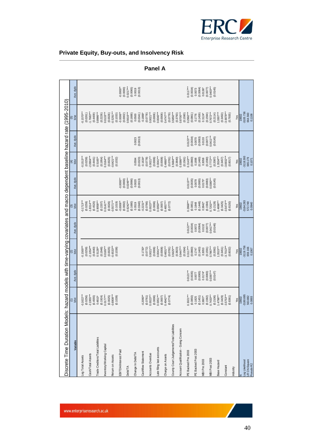![](_page_39_Picture_0.jpeg)

| Discrete Time Duration Models:            |                         |                       |                         |                    |                          |                         |                          |                         | hazard models with time-varying covariates and macro dependent baseline hazard rate (1995-2010). |                         |
|-------------------------------------------|-------------------------|-----------------------|-------------------------|--------------------|--------------------------|-------------------------|--------------------------|-------------------------|--------------------------------------------------------------------------------------------------|-------------------------|
| Variable                                  | $rac{8}{5}$             | Ave. dydx             | $\frac{2}{5}$           | Ave. dydx          | OSe<br>Dise              | Ave. dydx               | $rac{9}{2}$              | Ave. dydx               | $\frac{6}{26}$                                                                                   | Ave. dydx               |
| Log Total Assets                          | $0.1622***$             |                       | $0.1500***$             |                    | $0.1713***$              |                         | $0.1513***$              |                         | $0.1570***$                                                                                      |                         |
| Cash/Total Assets                         | $2.1955***$<br>(0.0256) |                       | $2.1054***$<br>(0.0259) |                    | $1.8314***$<br>(0.0259)  |                         | $2.0904***$<br>(0.0259)  |                         | $1.7683***$<br>(0.0261)                                                                          |                         |
|                                           | (0.4555)                |                       | (0.4440)                |                    | (0.4520)                 |                         | (0.4441)                 |                         | (0.4409)                                                                                         |                         |
| Trade Creditors/Total Liabilities         | (0.1924)<br>$0.4810*$   |                       | $0.5128**$<br>(0.1948)  |                    | $0.9058***$<br>(0.2207)  |                         | $0.5165**$<br>(0.1954)   |                         | $0.8986***$<br>(0.2226)                                                                          |                         |
| Inventory/Working Capital                 | $0.0177***$             |                       | $0.0165***$             |                    | $0.0141***$              |                         | $0.0164***$              |                         | $0.0133***$                                                                                      |                         |
| Retum on Assets                           | $0.6908***$<br>(0.0025) |                       | $0.6533***$<br>(0.0025) |                    | $-4.5571***$<br>(0.0026) |                         | $-0.6421***$<br>(0.0025) |                         | $0.5291***$<br>(0.0026)                                                                          |                         |
| EBITDA/Interest Paid                      | (0.1039)                |                       | (0.1038)                |                    | $-0.0006**$<br>(0.1019)  | $0.0000**$              | (0.1032)                 |                         | $-0.0006**$<br>(0.1033)                                                                          | $-0.0000**$             |
| <b>Debt/TA</b>                            |                         |                       |                         |                    | $0.6242***$<br>(0.0002)  | $0.0246***$<br>(0.0000) |                          |                         | $0.5616***$<br>(0.0002)                                                                          | $0.0217***$<br>(0.0000) |
| Change In Debt/TA                         |                         |                       |                         |                    | (0.1680)<br>0.0519       | (0.0066)<br>0.0020      | 0.0594                   | 0.0023                  | (0.1688)<br>0.0500                                                                               | (0.0065)<br>0.0019      |
|                                           |                         |                       |                         |                    | (0.0340)                 | (0.0013)                | (0.0323)                 | (0.0013)                | (0.0341)                                                                                         | (0.0013)                |
| Cashflow Statement                        | $-0.2090**$<br>(0.0761) |                       | $-0.1730*$<br>(0.0772)  |                    | $-0.2231***$<br>(0.0766) |                         | $-0.1634*$<br>(0.0778)   |                         | $-0.1888*$<br>(0.0778)                                                                           |                         |
| Accounts Overdue                          | $0.0023***$             |                       | $0.0021***$             |                    | $0.0023***$              |                         | $0.0021***$              |                         | $0.0021***$                                                                                      |                         |
| Late filing last accounts                 | $0.0051***$<br>(0.0006) |                       | $0.0041***$<br>(0.0006) |                    | (0.0006)<br>$0.0050***$  |                         | $0.0041***$<br>(0.0006)  |                         | $0.0040***$<br>(0.0006)                                                                          |                         |
| Charge on Assets                          | $0.4942***$<br>(0.0007) |                       | (0.0008)<br>$0.4831***$ |                    | (0.0007)<br>$0.4857***$  |                         | $0.4860***$<br>(0.0008)  |                         | $0.4747***$<br>(0.0008)                                                                          |                         |
|                                           | (0.0774)                |                       | (0.0781)                |                    | (0.0772)                 |                         | (0.0781)                 |                         | (0.0779)                                                                                         |                         |
| County Court Judgements/Total Liabilities |                         |                       | 3.5625***               |                    |                          |                         | $3.5684***$              |                         | 3.5850***                                                                                        |                         |
| Account Qualification - Going Concern     |                         |                       | (0.3823)<br>$0.9447***$ |                    |                          |                         | (0.3840)<br>$0.9386***$  |                         | (0.3793)<br>$0.8700***$                                                                          |                         |
| PE Backed Pre 2003                        | $0.3021***$             | $0.0121***$           | $0.3117***$<br>(0.1564) | $0.0122***$        | $0.2868***$              | $0.0115***$             | $0.3143***$<br>(0.1561)  | $0.0123***$             | $0.2992***$<br>(0.1590)                                                                          | $0.0117***$             |
| PE Backed Post 2003                       | (0.0850)<br>0.1825      | (0.0035)<br>0.0077    | (0.0860)<br>0.1747      | (0.0034)<br>0.0072 | (0.0851)<br>0.1848       | (0.0035)<br>0.0078      | (0.0860)<br>0.1698       | $(0.0034)$<br>$0.0070$  | (0.0861)<br>0.1776                                                                               | $(0.0034)$<br>0.0073    |
|                                           | (0.1451)                | (0.0065)<br>$0.0174*$ | (0.1463)                | (0.0064)           | (0.1448)                 | (0.0065)                | (0.1460)<br>0.3058       | (0.0063)                | (0.1459)                                                                                         | (0.0064)                |
| MBI Pre 2003                              | $0.3807$ *<br>(0.1582)  | (0.0083)              | (0.1591)<br>0.3053      | (0.0077)<br>0.0132 | $0.3842*$<br>(0.1584)    | (0.0083)<br>$0.0175*$   | (0.1590)                 | 0.0133                  | (0.1594)<br>$0.3124*$                                                                            | $0.0136*$<br>(0.0077)   |
| MBI Post 2003                             | $0.7433***$             | $0.0397***$           | $0.7867***$             | $0.0417**$         | $0.7202***$              | $0.0380***$             | $0.7772***$              | $(0.0077)$<br>0.0411*** | $0.7672***$                                                                                      | $0.0403***$             |
| Base Hazard                               | $1.4798***$<br>(0.2106) | (0.0147)              | $1.3515***$<br>(0.2092) | (0.0146)           | $1.4698***$<br>(0.2128)  | (0.0145)                | $1.3534***$<br>(0.2087)  | (0.0145)                | $1.3307***$<br>(0.2114)                                                                          | (0.0145)                |
|                                           | (0.3429)                |                       | (0.3451)                |                    | (0.3425)                 |                         | (0.3457)                 |                         | (0.3450)                                                                                         |                         |
| Constant                                  | $3.5753***$             |                       | $3.7013***$             |                    | $3.5474***$              |                         | $3.6932***$              |                         | $3.6878***$                                                                                      |                         |
| industry                                  | (0.8361)                |                       | (0.8032)                |                    | (0.8150)                 |                         | (0.8017)                 |                         | (0.7935)                                                                                         |                         |
|                                           | Yes                     |                       | Yes                     |                    | Yes                      |                         | Yes                      |                         | Yes                                                                                              |                         |
| Log Likelihood                            | 3180.695<br>19602       |                       | 3119.756<br>19602       |                    | $-3164.283$<br>19602     |                         | $-3118.393$<br>19602     |                         | $-3105.736$<br>19602                                                                             |                         |
| LR Chi-Square<br>Pseudo R2                | 563.882                 |                       | 659.166                 |                    | 572.749                  |                         | 665.179                  |                         | 664.560                                                                                          |                         |
|                                           | 0.0893                  |                       | 0.1067                  |                    | 0.0940                   |                         | 0.1071                   |                         | 0.1108                                                                                           |                         |

#### **Panel A**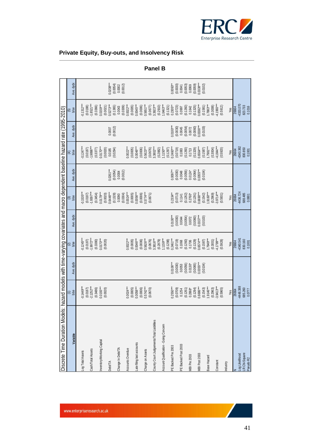![](_page_40_Picture_0.jpeg)

| Discrete Time Duration Models:            | azard models with time-varying covariates and macro dependent baseline hazard rate (1995-2010) |                        |                                                                                                                                                                              |                                                                                                             |                          |                                                                |                                                                                             |                           |                                                                                                                |                                                                         |
|-------------------------------------------|------------------------------------------------------------------------------------------------|------------------------|------------------------------------------------------------------------------------------------------------------------------------------------------------------------------|-------------------------------------------------------------------------------------------------------------|--------------------------|----------------------------------------------------------------|---------------------------------------------------------------------------------------------|---------------------------|----------------------------------------------------------------------------------------------------------------|-------------------------------------------------------------------------|
| Variable                                  | $\frac{36}{26}$                                                                                | Ave. dydx              | $\frac{2}{5}$                                                                                                                                                                | Ave. dydx                                                                                                   | ි<br>b/se                | Ave. dydx                                                      | $rac{4}{2}$                                                                                 | Ave. dydx                 | 6)<br>b/se                                                                                                     | Ave. dydx                                                               |
| Log Total Assets                          | $0.1449***$                                                                                    |                        |                                                                                                                                                                              |                                                                                                             | $0.1535***$              |                                                                |                                                                                             |                           | $0.1312***$                                                                                                    |                                                                         |
| Cash/Total Assets                         | $-2.1252***$<br>(0.0187)                                                                       |                        | $-0.1245***$<br>(0.0187)<br>-1.9972***                                                                                                                                       |                                                                                                             | $-1.9397***$<br>(0.0187) |                                                                | $-0.1247***$<br>$(0.0187)$<br>$-1.9898***$                                                  |                           | $-1.8521***$<br>(0.0188)                                                                                       |                                                                         |
|                                           | (0.3486)                                                                                       |                        | (0.3380)                                                                                                                                                                     |                                                                                                             | (0.3454)                 |                                                                | (0.3377)                                                                                    |                           | (0.3366)                                                                                                       |                                                                         |
| Inventory/Working Capital                 | $0.0193***$                                                                                    |                        | $0.0170***$                                                                                                                                                                  |                                                                                                             | $0.0179***$              |                                                                | $0.0170***$                                                                                 |                           | $0.0159***$                                                                                                    |                                                                         |
| <b>Debt/TA</b>                            | (0.0020)                                                                                       |                        | (0.0020)                                                                                                                                                                     |                                                                                                             | $0.6446***$<br>(0.0020)  | $0.0261***$                                                    | (0.0020)<br>0.0185                                                                          | 0.0007                    | $0.5273***$<br>(0.0021)                                                                                        | $0.0208***$                                                             |
|                                           |                                                                                                |                        |                                                                                                                                                                              |                                                                                                             | $(0.1328)$<br>$0.0090$   | $(0.0054)$<br>0.0004                                           | (0.0294)                                                                                    | (0.0012)                  | $(0.1365)$<br>0.0043                                                                                           | $(0.0054)$<br>$0.0002$                                                  |
| Change In Debt/TA                         |                                                                                                |                        |                                                                                                                                                                              |                                                                                                             | (0.0304)                 | (0.0012)                                                       |                                                                                             |                           | (0.0309)                                                                                                       | (0.0012)                                                                |
| Accounts Overdue                          | $0.0024***$<br>(0.0005)                                                                        |                        | $0.0022***$                                                                                                                                                                  |                                                                                                             | $0.0024***$<br>(0.0005)  |                                                                | $0.0022***$                                                                                 |                           | $0.0022***$<br>(0.0005)                                                                                        |                                                                         |
| Late filing last accounts                 | $0.0058***$                                                                                    |                        | $0.0046***$                                                                                                                                                                  |                                                                                                             | $0.0056***$              |                                                                | $0.0046***$<br>(0.0005)                                                                     |                           | $0.0045***$                                                                                                    |                                                                         |
| Charge on Assets                          | $0.5742***$<br>(0.0006)                                                                        |                        | (0.0006)                                                                                                                                                                     |                                                                                                             | $0.5774***$<br>(0.0006)  |                                                                | (0.0006)                                                                                    |                           | (0.0006)                                                                                                       |                                                                         |
|                                           | (0.0670)                                                                                       |                        | $0.5626***$<br>$(0.0676)$                                                                                                                                                    |                                                                                                             | (0.0671)                 |                                                                | $0.5623***$<br>(0.0676)                                                                     |                           |                                                                                                                |                                                                         |
| County Court Judgements/Total Liabilities |                                                                                                |                        | $3.3816***$                                                                                                                                                                  |                                                                                                             |                          |                                                                | 3.3802***                                                                                   |                           | $0.5651***$<br>(0.0677)<br>3.3923***                                                                           |                                                                         |
| Account Qualification - Going Concern     |                                                                                                |                        |                                                                                                                                                                              |                                                                                                             |                          |                                                                | $(0.2882)$<br>1.1150***<br>(0.1297)                                                         |                           | $\begin{array}{c} (0.2910) \\ 1.0463^{***} \\ (0.1321) \\ 0.2305^{**} \end{array}$                             |                                                                         |
|                                           |                                                                                                |                        |                                                                                                                                                                              |                                                                                                             |                          |                                                                |                                                                                             |                           |                                                                                                                |                                                                         |
| PE Backed Pre 2003                        | $0.2550***$                                                                                    | $0.0106***$            |                                                                                                                                                                              | $0.0100***$                                                                                                 | $0.2334***$              |                                                                |                                                                                             | $0.0100***$               |                                                                                                                | $0.0093**$                                                              |
| PE Backed Post 2003                       | $(0.0709)$<br>$0.1254$                                                                         | $(0.0030)$<br>$0.0053$ |                                                                                                                                                                              |                                                                                                             | $(0.0713)$<br>0.1141     |                                                                |                                                                                             | $(0.0030)$<br>$0.0045$    |                                                                                                                |                                                                         |
| MBI Pre 2003                              | (0.1261)<br>$0.2868*$                                                                          | (0.0056)<br>$0.0130*$  | $\begin{array}{l} (0.2879) \\ 1.1159^{***} \\ (0.1298) \\ 0.2461^{***} \\ (0.0719) \\ (0.0719) \\ (0.1260) \\ (0.1706) \\ (0.1706) \\ (0.1329) \\ (0.6574^{***} \end{array}$ | $\begin{array}{c} (0.0030) \\ 0.0044 \\ (0.0054) \\ 0.0072 \\ (0.0060) \\ (0.0060) \\ (0.0060) \end{array}$ | $(0.1262)$<br>$0.2760*$  | $0.0097$<br>$(0.0030)$<br>$0.0048$<br>$(0.0056)$<br>$(0.0056)$ | $0.2460***$<br>$(0.0719)$<br>$0.1083$<br>$(0.1260)$<br>$0.1713$<br>$(0.1329)$<br>$(0.1329)$ | (0.0054)<br>0.0072        | $\begin{array}{c} (0.0723) \\ 0.0997 \\ (0.1260) \\ 0.1642 \\ 0.1325) \\ (0.1325) \\ 0.6592^{***} \end{array}$ | $\begin{array}{c} (0.0030) \\ 0.0041 \\ (0.0053) \\ 0.0053 \end{array}$ |
|                                           | (0.1294)                                                                                       | (0.0065)               |                                                                                                                                                                              |                                                                                                             | (0.1291)                 |                                                                |                                                                                             |                           |                                                                                                                | (0.0059)                                                                |
| MBI Post 2003                             | $0.6686***$                                                                                    | $0.0355***$            |                                                                                                                                                                              |                                                                                                             | $0.6690***$              | $(0.0064)$<br>$0.0355***$                                      |                                                                                             | $(0.0060)$<br>$0.0336***$ |                                                                                                                | $0.0338***$                                                             |
| Base Hazard                               | $1.9146***$<br>(0.1543)                                                                        | (0.0104)               | (0.1587)<br>$1.7949***$                                                                                                                                                      | (0.0103)                                                                                                    | $1.9160***$<br>(0.1542)  | (0.0104)                                                       | $1.7981***$<br>(0.1587)                                                                     | (0.0103)                  | $1.7883***$<br>(0.1581)                                                                                        | (0.0102)                                                                |
|                                           | (0.2963)                                                                                       |                        | (0.3001)                                                                                                                                                                     |                                                                                                             | (0.2969)                 |                                                                | (0.3004)                                                                                    |                           | (0.3008)                                                                                                       |                                                                         |
| Constant                                  | $3.9413***$                                                                                    |                        | $4.1799***$                                                                                                                                                                  |                                                                                                             | $3.9714***$              |                                                                | $4.1844***$                                                                                 |                           | 4.1993***                                                                                                      |                                                                         |
|                                           | (0.5965)                                                                                       |                        | (0.5928)                                                                                                                                                                     |                                                                                                             | (0.5931)                 |                                                                | (0.5920)                                                                                    |                           | (0.5912)                                                                                                       |                                                                         |
| industry                                  | Yes                                                                                            |                        | Yes                                                                                                                                                                          |                                                                                                             | Yes                      |                                                                | Yes                                                                                         |                           | Yes                                                                                                            |                                                                         |
|                                           | 26664                                                                                          |                        | 26664                                                                                                                                                                        |                                                                                                             | 26664                    |                                                                | 26664                                                                                       |                           | 26664                                                                                                          |                                                                         |
| Log Likelihood                            | 4448.388                                                                                       |                        | -4340.541                                                                                                                                                                    |                                                                                                             | $-4436.724$              |                                                                | 4340.362                                                                                    |                           | $-4333.070$<br>823.733<br>0.1016                                                                               |                                                                         |
| LR Chi-Square<br>Pseudo R2                | 685.260<br>0.0777                                                                              |                        | 830.160<br>0.1001                                                                                                                                                            |                                                                                                             | 688.485<br>0.0801        |                                                                | 830.850<br>0.1001                                                                           |                           |                                                                                                                |                                                                         |
|                                           |                                                                                                |                        |                                                                                                                                                                              |                                                                                                             |                          |                                                                |                                                                                             |                           |                                                                                                                |                                                                         |

#### **Panel B**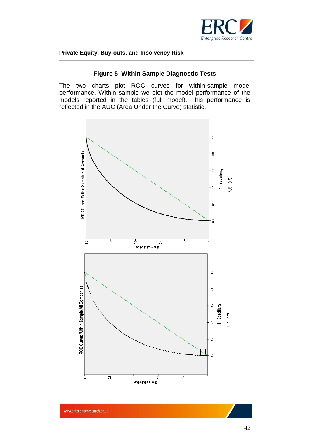![](_page_41_Picture_0.jpeg)

#### **Figure 5 Within Sample Diagnostic Tests**

The two charts plot ROC curves for within-sample model performance. Within sample we plot the model performance of the models reported in the tables (full model). This performance is reflected in the AUC (Area Under the Curve) statistic.

![](_page_41_Figure_4.jpeg)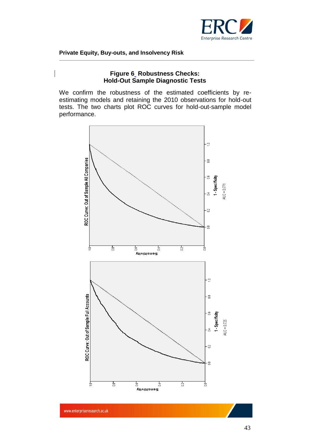![](_page_42_Picture_0.jpeg)

#### **Figure 6 Robustness Checks: Hold-Out Sample Diagnostic Tests**

We confirm the robustness of the estimated coefficients by reestimating models and retaining the 2010 observations for hold-out tests. The two charts plot ROC curves for hold-out-sample model performance.

![](_page_42_Figure_4.jpeg)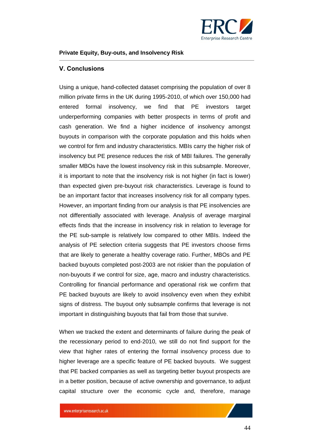![](_page_43_Picture_0.jpeg)

#### <span id="page-43-0"></span>**V. Conclusions**

Using a unique, hand-collected dataset comprising the population of over 8 million private firms in the UK during 1995-2010, of which over 150,000 had entered formal insolvency, we find that PE investors target underperforming companies with better prospects in terms of profit and cash generation. We find a higher incidence of insolvency amongst buyouts in comparison with the corporate population and this holds when we control for firm and industry characteristics. MBIs carry the higher risk of insolvency but PE presence reduces the risk of MBI failures. The generally smaller MBOs have the lowest insolvency risk in this subsample. Moreover, it is important to note that the insolvency risk is not higher (in fact is lower) than expected given pre-buyout risk characteristics. Leverage is found to be an important factor that increases insolvency risk for all company types. However, an important finding from our analysis is that PE insolvencies are not differentially associated with leverage. Analysis of average marginal effects finds that the increase in insolvency risk in relation to leverage for the PE sub-sample is relatively low compared to other MBIs. Indeed the analysis of PE selection criteria suggests that PE investors choose firms that are likely to generate a healthy coverage ratio. Further, MBOs and PE backed buyouts completed post-2003 are not riskier than the population of non-buyouts if we control for size, age, macro and industry characteristics. Controlling for financial performance and operational risk we confirm that PE backed buyouts are likely to avoid insolvency even when they exhibit signs of distress. The buyout only subsample confirms that leverage is not important in distinguishing buyouts that fail from those that survive.

When we tracked the extent and determinants of failure during the peak of the recessionary period to end-2010, we still do not find support for the view that higher rates of entering the formal insolvency process due to higher leverage are a specific feature of PE backed buyouts. We suggest that PE backed companies as well as targeting better buyout prospects are in a better position, because of active ownership and governance, to adjust capital structure over the economic cycle and, therefore, manage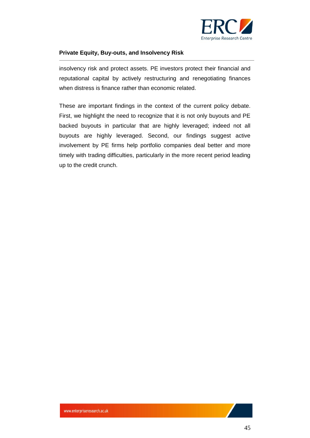![](_page_44_Picture_0.jpeg)

insolvency risk and protect assets. PE investors protect their financial and reputational capital by actively restructuring and renegotiating finances when distress is finance rather than economic related.

These are important findings in the context of the current policy debate. First, we highlight the need to recognize that it is not only buyouts and PE backed buyouts in particular that are highly leveraged; indeed not all buyouts are highly leveraged. Second, our findings suggest active involvement by PE firms help portfolio companies deal better and more timely with trading difficulties, particularly in the more recent period leading up to the credit crunch.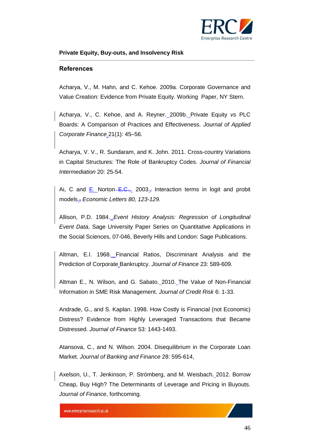![](_page_45_Picture_0.jpeg)

#### <span id="page-45-0"></span>**References**

Acharya, V., M. Hahn, and C. Kehoe. 2009a. Corporate Governance and Value Creation: Evidence from Private Equity. Working Paper, NY Stern.

Acharya, V., C. Kehoe, and A. Reyner. 2009b. Private Equity *vs* PLC Boards: A Comparison of Practices and Effectiveness. *Journal of Applied Corporate Finance* 21(1): 45–56.

Acharya, V. V., R. Sundaram, and K. John. 2011. Cross-country Variations in Capital Structures: The Role of Bankruptcy Codes. *Journal of Financial Intermediation* 20: 25-54.

Ai, C and E. Norton–E.C.,. 2003., Interaction terms in logit and probit models., *Economic Letters 80, 123-129.*

Allison, P.D. 1984. *Event History Analysis: Regression of Longitudinal Event Data*, Sage University Paper Series on Quantitative Applications in the Social Sciences, 07-046, Beverly Hills and London: Sage Publications.

Altman, E.I. 1968. Financial Ratios, Discriminant Analysis and the Prediction of Corporate Bankruptcy. *Journal of Finance* 23: 589-609.

Altman E., N. Wilson, and G. Sabato. 2010. The Value of Non-Financial Information in SME Risk Management. *Journal of Credit Risk* 6: 1-33.

Andrade, G., and S. Kaplan. 1998. How Costly is Financial (not Economic) Distress? Evidence from Highly Leveraged Transactions that Became Distressed. *Journal of Finance* 53: 1443-1493.

Atansova, C., and N. Wilson. 2004. Disequilibrium in the Corporate Loan Market. *Journal of Banking and Finance* 28: 595-614,

Axelson, U., T. Jenkinson, P. Strömberg, and M. Weisbach. 2012. Borrow Cheap, Buy High? The Determinants of Leverage and Pricing in Buyouts. *Journal of Finance*, forthcoming.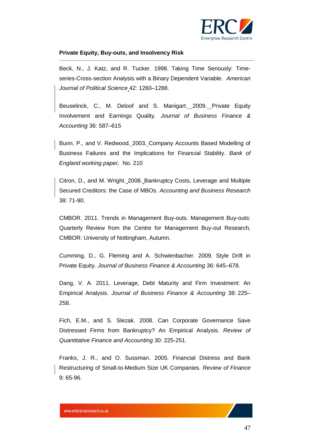![](_page_46_Picture_0.jpeg)

Beck, N., J. Katz, and R. Tucker. 1998. Taking Time Seriously: Timeseries-Cross-section Analysis with a Binary Dependent Variable. *American Journal of Political Science* 42: 1260–1288.

Beuselinck, C., M. Deloof and S. Manigart. 2009. Private Equity Involvement and Earnings Quality. *Journal of Business Finance & Accounting* 36: 587–615

Bunn, P., and V. Redwood. 2003. Company Accounts Based Modelling of Business Failures and the Implications for Financial Stability. *Bank of England working paper,* No. 210

Citron, D., and M. Wright. 2008. Bankruptcy Costs, Leverage and Multiple Secured Creditors: the Case of MBOs. *Accounting and Business Research* 38: 71-90.

CMBOR. 2011. Trends in Management Buy-outs. Management Buy-outs: Quarterly Review from the Centre for Management Buy-out Research, CMBOR: University of Nottingham, Autumn.

Cumming, D., G. Fleming and A. Schwienbacher. 2009. Style Drift in Private Equity. *Journal of Business Finance & Accounting* 36: 645–678.

Dang, V. A. 2011. Leverage, Debt Maturity and Firm Investment: An Empirical Analysis. *Journal of Business Finance & Accounting* 38: 225– 258.

Fich, E.M., and S. Slezak. 2008. Can Corporate Governance Save Distressed Firms from Bankruptcy? An Empirical Analysis. *Review of Quantitative Finance and Accounting* 30: 225-251.

Franks, J. R., and O. Sussman. 2005. Financial Distress and Bank Restructuring of Small-to-Medium Size UK Companies. *Review of Finance* 9: 65-96.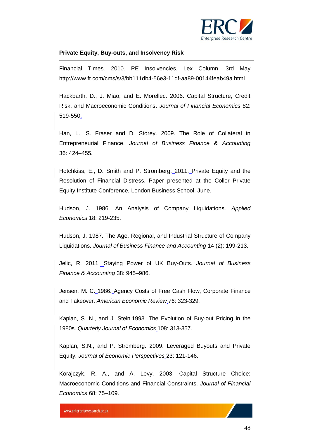![](_page_47_Picture_0.jpeg)

Financial Times. 2010. PE Insolvencies, Lex Column, 3rd May http://www.ft.com/cms/s/3/bb111db4-56e3-11df-aa89-00144feab49a.html

Hackbarth, D., J. Miao, and E. Morellec. 2006. Capital Structure, Credit Risk, and Macroeconomic Conditions. *Journal of Financial Economics* 82: 519-550.

Han, L., S. Fraser and D. Storey. 2009. The Role of Collateral in Entrepreneurial Finance. *Journal of Business Finance & Accounting* 36: 424–455.

Hotchkiss, E., D. Smith and P. Stromberg. 2011. Private Equity and the Resolution of Financial Distress. Paper presented at the Coller Private Equity Institute Conference, London Business School, June.

Hudson, J. 1986. An Analysis of Company Liquidations. *Applied Economics* 18: 219-235.

Hudson, J. 1987. The Age, Regional, and Industrial Structure of Company Liquidations. *Journal of Business Finance and Accounting* 14 (2): 199-213.

Jelic, R. 2011. Staying Power of UK Buy-Outs. *Journal of Business Finance & Accounting* 38: 945–986.

Jensen, M. C. 1986. Agency Costs of Free Cash Flow, Corporate Finance and Takeover. *American Economic Review* 76: 323-329.

Kaplan, S. N., and J. Stein.1993. The Evolution of Buy-out Pricing in the 1980s. *Quarterly Journal of Economics* 108: 313-357.

Kaplan, S.N., and P. Stromberg. 2009. Leveraged Buyouts and Private Equity. *Journal of Economic Perspectives* 23: 121-146.

Korajczyk, R. A., and A. Levy. 2003. Capital Structure Choice: Macroeconomic Conditions and Financial Constraints. *Journal of Financial Economics* 68: 75–109.

www.enterpriseresearch.ac.uk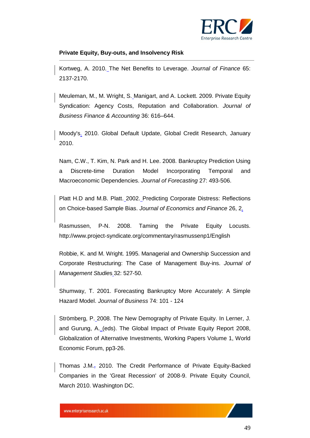![](_page_48_Picture_0.jpeg)

Kortweg, A. 2010. The Net Benefits to Leverage. *Journal of Finance* 65: 2137-2170.

Meuleman, M., M. Wright, S. Manigart, and A. Lockett. 2009. Private Equity Syndication: Agency Costs, Reputation and Collaboration. *Journal of Business Finance & Accounting* 36: 616–644.

Moody's. 2010. Global Default Update, Global Credit Research, January 2010.

Nam, C.W., T. Kim, N. Park and H. Lee. 2008. Bankruptcy Prediction Using a Discrete-time Duration Model Incorporating Temporal and Macroeconomic Dependencies. *Journal of Forecasting* 27: 493-506.

Platt H.D and M.B. Platt. 2002. Predicting Corporate Distress: Reflections on Choice-based Sample Bias. *Journal of Economics and Finance* 26, 2.

Rasmussen, P-N. 2008. Taming the Private Equity Locusts. http://www.project-syndicate.org/commentary/rasmussenp1/English

Robbie, K. and M. Wright. 1995. Managerial and Ownership Succession and Corporate Restructuring: The Case of Management Buy-ins. *Journal of Management Studie*s 32: 527-50.

Shumway, T. 2001. Forecasting Bankruptcy More Accurately: A Simple Hazard Model. *Journal of Business* 74: 101 - 124

Strömberg, P. 2008. The New Demography of Private Equity. In Lerner, J. and Gurung, A. (eds). The Global Impact of Private Equity Report 2008, Globalization of Alternative Investments, Working Papers Volume 1, World Economic Forum, pp3-26.

Thomas J.M., 2010. The Credit Performance of Private Equity-Backed Companies in the 'Great Recession' of 2008-9. Private Equity Council, March 2010. Washington DC.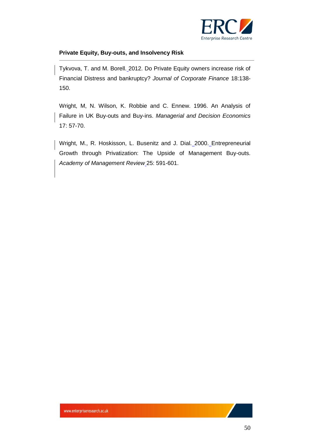![](_page_49_Picture_0.jpeg)

Tykvova, T. and M. Borell. 2012. Do Private Equity owners increase risk of Financial Distress and bankruptcy? *Journal of Corporate Finance* 18:138- 150.

Wright, M, N. Wilson, K. Robbie and C. Ennew. 1996. An Analysis of Failure in UK Buy-outs and Buy-ins. *Managerial and Decision Economics* 17: 57-70.

Wright, M., R. Hoskisson, L. Busenitz and J. Dial. 2000. Entrepreneurial Growth through Privatization: The Upside of Management Buy-outs. *Academy of Management Review* 25: 591-601.